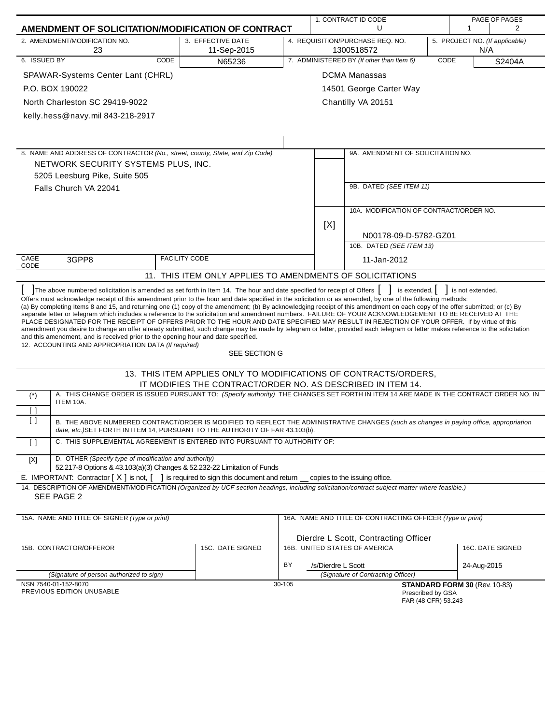|                       | AMENDMENT OF SOLICITATION/MODIFICATION OF CONTRACT                                                                                                                                                                                                                                                                                                                                                                                                                                                                                                                                                                                                                                                                                                                                                                                                                                                                                                                                 |                                                                  |        |                    | 1. CONTRACT ID CODE<br>PAGE OF PAGES                                                    |             |                               |                  |
|-----------------------|------------------------------------------------------------------------------------------------------------------------------------------------------------------------------------------------------------------------------------------------------------------------------------------------------------------------------------------------------------------------------------------------------------------------------------------------------------------------------------------------------------------------------------------------------------------------------------------------------------------------------------------------------------------------------------------------------------------------------------------------------------------------------------------------------------------------------------------------------------------------------------------------------------------------------------------------------------------------------------|------------------------------------------------------------------|--------|--------------------|-----------------------------------------------------------------------------------------|-------------|-------------------------------|------------------|
|                       |                                                                                                                                                                                                                                                                                                                                                                                                                                                                                                                                                                                                                                                                                                                                                                                                                                                                                                                                                                                    |                                                                  |        |                    | U                                                                                       |             | $\mathbf{1}$                  | 2                |
|                       | 2. AMENDMENT/MODIFICATION NO.<br>23                                                                                                                                                                                                                                                                                                                                                                                                                                                                                                                                                                                                                                                                                                                                                                                                                                                                                                                                                | 3. EFFECTIVE DATE<br>11-Sep-2015                                 |        |                    | 4. REQUISITION/PURCHASE REQ. NO.<br>5. PROJECT NO. (If applicable)<br>1300518572<br>N/A |             |                               |                  |
| 6. ISSUED BY          | <b>CODE</b>                                                                                                                                                                                                                                                                                                                                                                                                                                                                                                                                                                                                                                                                                                                                                                                                                                                                                                                                                                        | N65236                                                           |        |                    | 7. ADMINISTERED BY (If other than Item 6)                                               | <b>CODE</b> |                               | S2404A           |
|                       | SPAWAR-Systems Center Lant (CHRL)                                                                                                                                                                                                                                                                                                                                                                                                                                                                                                                                                                                                                                                                                                                                                                                                                                                                                                                                                  |                                                                  |        |                    | <b>DCMA Manassas</b>                                                                    |             |                               |                  |
|                       | P.O. BOX 190022                                                                                                                                                                                                                                                                                                                                                                                                                                                                                                                                                                                                                                                                                                                                                                                                                                                                                                                                                                    |                                                                  |        |                    | 14501 George Carter Way                                                                 |             |                               |                  |
|                       | North Charleston SC 29419-9022                                                                                                                                                                                                                                                                                                                                                                                                                                                                                                                                                                                                                                                                                                                                                                                                                                                                                                                                                     |                                                                  |        |                    | Chantilly VA 20151                                                                      |             |                               |                  |
|                       | kelly.hess@navy.mil 843-218-2917                                                                                                                                                                                                                                                                                                                                                                                                                                                                                                                                                                                                                                                                                                                                                                                                                                                                                                                                                   |                                                                  |        |                    |                                                                                         |             |                               |                  |
|                       |                                                                                                                                                                                                                                                                                                                                                                                                                                                                                                                                                                                                                                                                                                                                                                                                                                                                                                                                                                                    |                                                                  |        |                    |                                                                                         |             |                               |                  |
|                       |                                                                                                                                                                                                                                                                                                                                                                                                                                                                                                                                                                                                                                                                                                                                                                                                                                                                                                                                                                                    |                                                                  |        |                    |                                                                                         |             |                               |                  |
|                       | 8. NAME AND ADDRESS OF CONTRACTOR (No., street, county, State, and Zip Code)                                                                                                                                                                                                                                                                                                                                                                                                                                                                                                                                                                                                                                                                                                                                                                                                                                                                                                       |                                                                  |        |                    | 9A. AMENDMENT OF SOLICITATION NO.                                                       |             |                               |                  |
|                       | NETWORK SECURITY SYSTEMS PLUS, INC.                                                                                                                                                                                                                                                                                                                                                                                                                                                                                                                                                                                                                                                                                                                                                                                                                                                                                                                                                |                                                                  |        |                    |                                                                                         |             |                               |                  |
|                       | 5205 Leesburg Pike, Suite 505                                                                                                                                                                                                                                                                                                                                                                                                                                                                                                                                                                                                                                                                                                                                                                                                                                                                                                                                                      |                                                                  |        |                    |                                                                                         |             |                               |                  |
|                       | Falls Church VA 22041                                                                                                                                                                                                                                                                                                                                                                                                                                                                                                                                                                                                                                                                                                                                                                                                                                                                                                                                                              |                                                                  |        |                    | 9B. DATED (SEE ITEM 11)                                                                 |             |                               |                  |
|                       |                                                                                                                                                                                                                                                                                                                                                                                                                                                                                                                                                                                                                                                                                                                                                                                                                                                                                                                                                                                    |                                                                  |        |                    |                                                                                         |             |                               |                  |
|                       |                                                                                                                                                                                                                                                                                                                                                                                                                                                                                                                                                                                                                                                                                                                                                                                                                                                                                                                                                                                    |                                                                  |        |                    | 10A. MODIFICATION OF CONTRACT/ORDER NO.                                                 |             |                               |                  |
|                       |                                                                                                                                                                                                                                                                                                                                                                                                                                                                                                                                                                                                                                                                                                                                                                                                                                                                                                                                                                                    |                                                                  |        | [X]                |                                                                                         |             |                               |                  |
|                       |                                                                                                                                                                                                                                                                                                                                                                                                                                                                                                                                                                                                                                                                                                                                                                                                                                                                                                                                                                                    |                                                                  |        |                    | N00178-09-D-5782-GZ01                                                                   |             |                               |                  |
|                       |                                                                                                                                                                                                                                                                                                                                                                                                                                                                                                                                                                                                                                                                                                                                                                                                                                                                                                                                                                                    |                                                                  |        |                    | 10B. DATED (SEE ITEM 13)                                                                |             |                               |                  |
| CAGE                  | 3GPP8                                                                                                                                                                                                                                                                                                                                                                                                                                                                                                                                                                                                                                                                                                                                                                                                                                                                                                                                                                              | <b>FACILITY CODE</b>                                             |        |                    | 11-Jan-2012                                                                             |             |                               |                  |
| CODE                  |                                                                                                                                                                                                                                                                                                                                                                                                                                                                                                                                                                                                                                                                                                                                                                                                                                                                                                                                                                                    | 11. THIS ITEM ONLY APPLIES TO AMENDMENTS OF SOLICITATIONS        |        |                    |                                                                                         |             |                               |                  |
|                       | The above numbered solicitation is amended as set forth in Item 14. The hour and date specified for receipt of Offers                                                                                                                                                                                                                                                                                                                                                                                                                                                                                                                                                                                                                                                                                                                                                                                                                                                              |                                                                  |        |                    | is extended,                                                                            |             | is not extended.              |                  |
|                       | Offers must acknowledge receipt of this amendment prior to the hour and date specified in the solicitation or as amended, by one of the following methods:<br>(a) By completing Items 8 and 15, and returning one (1) copy of the amendment; (b) By acknowledging receipt of this amendment on each copy of the offer submitted; or (c) By<br>separate letter or telegram which includes a reference to the solicitation and amendment numbers. FAILURE OF YOUR ACKNOWLEDGEMENT TO BE RECEIVED AT THE<br>PLACE DESIGNATED FOR THE RECEIPT OF OFFERS PRIOR TO THE HOUR AND DATE SPECIFIED MAY RESULT IN REJECTION OF YOUR OFFER. If by virtue of this<br>amendment you desire to change an offer already submitted, such change may be made by telegram or letter, provided each telegram or letter makes reference to the solicitation<br>and this amendment, and is received prior to the opening hour and date specified.<br>12. ACCOUNTING AND APPROPRIATION DATA (If required) |                                                                  |        |                    |                                                                                         |             |                               |                  |
|                       |                                                                                                                                                                                                                                                                                                                                                                                                                                                                                                                                                                                                                                                                                                                                                                                                                                                                                                                                                                                    | SEE SECTION G                                                    |        |                    |                                                                                         |             |                               |                  |
|                       |                                                                                                                                                                                                                                                                                                                                                                                                                                                                                                                                                                                                                                                                                                                                                                                                                                                                                                                                                                                    | 13. THIS ITEM APPLIES ONLY TO MODIFICATIONS OF CONTRACTS/ORDERS, |        |                    |                                                                                         |             |                               |                  |
|                       |                                                                                                                                                                                                                                                                                                                                                                                                                                                                                                                                                                                                                                                                                                                                                                                                                                                                                                                                                                                    | IT MODIFIES THE CONTRACT/ORDER NO. AS DESCRIBED IN ITEM 14.      |        |                    |                                                                                         |             |                               |                  |
| $(\dot{\phantom{a}})$ | A. THIS CHANGE ORDER IS ISSUED PURSUANT TO: (Specify authority) THE CHANGES SET FORTH IN ITEM 14 ARE MADE IN THE CONTRACT ORDER NO. IN<br>ITEM 10A.                                                                                                                                                                                                                                                                                                                                                                                                                                                                                                                                                                                                                                                                                                                                                                                                                                |                                                                  |        |                    |                                                                                         |             |                               |                  |
| $\lceil$ $\rceil$     |                                                                                                                                                                                                                                                                                                                                                                                                                                                                                                                                                                                                                                                                                                                                                                                                                                                                                                                                                                                    |                                                                  |        |                    |                                                                                         |             |                               |                  |
| $\Box$                | B. THE ABOVE NUMBERED CONTRACT/ORDER IS MODIFIED TO REFLECT THE ADMINISTRATIVE CHANGES (such as changes in paying office, appropriation<br>date, etc.) SET FORTH IN ITEM 14, PURSUANT TO THE AUTHORITY OF FAR 43.103(b).                                                                                                                                                                                                                                                                                                                                                                                                                                                                                                                                                                                                                                                                                                                                                           |                                                                  |        |                    |                                                                                         |             |                               |                  |
| $\Box$                | C. THIS SUPPLEMENTAL AGREEMENT IS ENTERED INTO PURSUANT TO AUTHORITY OF:                                                                                                                                                                                                                                                                                                                                                                                                                                                                                                                                                                                                                                                                                                                                                                                                                                                                                                           |                                                                  |        |                    |                                                                                         |             |                               |                  |
| $[{\sf X}]$           | D. OTHER (Specify type of modification and authority)<br>52.217-8 Options & 43.103(a)(3) Changes & 52.232-22 Limitation of Funds                                                                                                                                                                                                                                                                                                                                                                                                                                                                                                                                                                                                                                                                                                                                                                                                                                                   |                                                                  |        |                    |                                                                                         |             |                               |                  |
|                       | E. IMPORTANT: Contractor $[X]$ is not, $[$                                                                                                                                                                                                                                                                                                                                                                                                                                                                                                                                                                                                                                                                                                                                                                                                                                                                                                                                         | 1 is required to sign this document and return                   |        |                    | copies to the issuing office.                                                           |             |                               |                  |
|                       | 14. DESCRIPTION OF AMENDMENT/MODIFICATION (Organized by UCF section headings, including solicitation/contract subject matter where feasible.)                                                                                                                                                                                                                                                                                                                                                                                                                                                                                                                                                                                                                                                                                                                                                                                                                                      |                                                                  |        |                    |                                                                                         |             |                               |                  |
|                       | SEE PAGE 2                                                                                                                                                                                                                                                                                                                                                                                                                                                                                                                                                                                                                                                                                                                                                                                                                                                                                                                                                                         |                                                                  |        |                    |                                                                                         |             |                               |                  |
|                       | 15A. NAME AND TITLE OF SIGNER (Type or print)                                                                                                                                                                                                                                                                                                                                                                                                                                                                                                                                                                                                                                                                                                                                                                                                                                                                                                                                      |                                                                  |        |                    | 16A. NAME AND TITLE OF CONTRACTING OFFICER (Type or print)                              |             |                               |                  |
|                       |                                                                                                                                                                                                                                                                                                                                                                                                                                                                                                                                                                                                                                                                                                                                                                                                                                                                                                                                                                                    |                                                                  |        |                    | Dierdre L Scott, Contracting Officer                                                    |             |                               |                  |
|                       | 15B. CONTRACTOR/OFFEROR                                                                                                                                                                                                                                                                                                                                                                                                                                                                                                                                                                                                                                                                                                                                                                                                                                                                                                                                                            | 15C. DATE SIGNED                                                 |        |                    | 16B. UNITED STATES OF AMERICA                                                           |             |                               | 16C. DATE SIGNED |
|                       |                                                                                                                                                                                                                                                                                                                                                                                                                                                                                                                                                                                                                                                                                                                                                                                                                                                                                                                                                                                    |                                                                  | BY     | /s/Dierdre L Scott |                                                                                         |             | 24-Aug-2015                   |                  |
|                       | (Signature of person authorized to sign)                                                                                                                                                                                                                                                                                                                                                                                                                                                                                                                                                                                                                                                                                                                                                                                                                                                                                                                                           |                                                                  |        |                    | (Signature of Contracting Officer)                                                      |             |                               |                  |
|                       | NSN 7540-01-152-8070                                                                                                                                                                                                                                                                                                                                                                                                                                                                                                                                                                                                                                                                                                                                                                                                                                                                                                                                                               |                                                                  | 30-105 |                    |                                                                                         |             | STANDARD FORM 30 (Rev. 10-83) |                  |
|                       | PREVIOUS EDITION UNUSABLE                                                                                                                                                                                                                                                                                                                                                                                                                                                                                                                                                                                                                                                                                                                                                                                                                                                                                                                                                          |                                                                  |        |                    | Prescribed by GSA<br>FAR (48 CFR) 53.243                                                |             |                               |                  |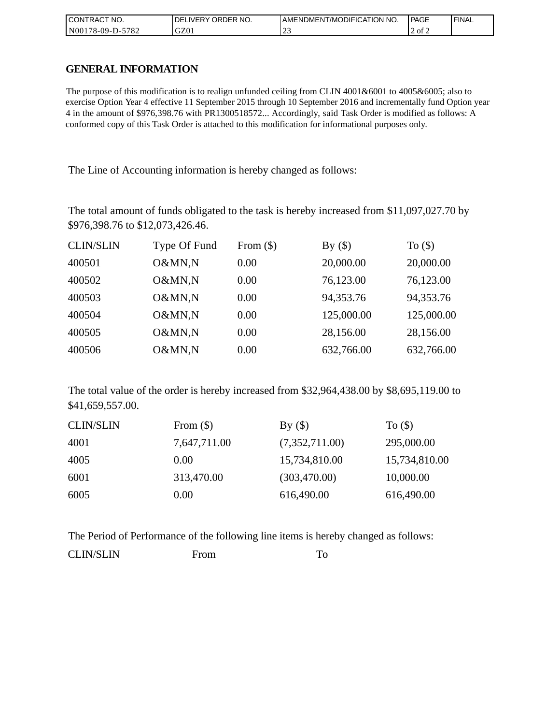| <b>CONTRACT NO.</b>   | NO.<br>ORDER <sup>'</sup><br><b>DELIVERY</b> | I AMENDMENT/MODIFICATION NO. | <b>PAGE</b> | 'FINAL |
|-----------------------|----------------------------------------------|------------------------------|-------------|--------|
| N00178-09-D-5<br>5782 | GZ01                                         | ب سے                         | 2 of 2      |        |

## **GENERAL INFORMATION**

The purpose of this modification is to realign unfunded ceiling from CLIN 4001&6001 to 4005&6005; also to exercise Option Year 4 effective 11 September 2015 through 10 September 2016 and incrementally fund Option year 4 in the amount of \$976,398.76 with PR1300518572... Accordingly, said Task Order is modified as follows: A conformed copy of this Task Order is attached to this modification for informational purposes only.

The Line of Accounting information is hereby changed as follows:

The total amount of funds obligated to the task is hereby increased from \$11,097,027.70 by \$976,398.76 to \$12,073,426.46.

| <b>CLIN/SLIN</b> | Type Of Fund | From $(\$)$ | By $(\$)$  | To $($ math) |
|------------------|--------------|-------------|------------|--------------|
| 400501           | O&MN,N       | 0.00        | 20,000.00  | 20,000.00    |
| 400502           | O&MN,N       | 0.00        | 76,123.00  | 76,123.00    |
| 400503           | O&MN,N       | 0.00        | 94,353.76  | 94,353.76    |
| 400504           | O&MN,N       | 0.00        | 125,000.00 | 125,000.00   |
| 400505           | O&MN,N       | 0.00        | 28,156.00  | 28,156.00    |
| 400506           | O&MN,N       | 0.00        | 632,766.00 | 632,766.00   |

The total value of the order is hereby increased from \$32,964,438.00 by \$8,695,119.00 to \$41,659,557.00.

| <b>CLIN/SLIN</b> | From $(\$)$  | By()           | To $($ math)  |
|------------------|--------------|----------------|---------------|
| 4001             | 7,647,711.00 | (7,352,711.00) | 295,000.00    |
| 4005             | 0.00         | 15,734,810.00  | 15,734,810.00 |
| 6001             | 313,470.00   | (303,470.00)   | 10,000.00     |
| 6005             | 0.00         | 616,490.00     | 616,490.00    |

The Period of Performance of the following line items is hereby changed as follows: CLIN/SLIN From To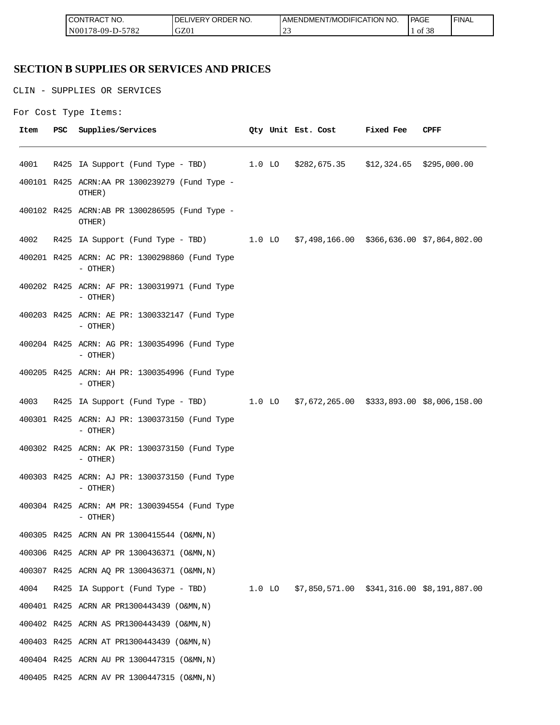| <b>ICON</b><br>°CT NO.<br>∵I RAC                  | <u>---</u><br>R NO.<br>ЭR.<br>(DE)<br>⊣د، | ICATION NO.<br>ODIFIO<br>AME<br>-NDMEN.<br>l /MC | PAGE<br>____       | <b>FINAL</b> |
|---------------------------------------------------|-------------------------------------------|--------------------------------------------------|--------------------|--------------|
| 5700<br>N <sub>00</sub><br>$8 - 09 - D -$<br>∠ه ' | GZ0                                       | $\sim$<br>ب سے                                   | c oo<br>ΟĪ<br>- 20 |              |

# **SECTION B SUPPLIES OR SERVICES AND PRICES**

CLIN - SUPPLIES OR SERVICES

```
For Cost Type Items:
```

| Item | PSC | Supplies/Services                                                                   |  | Qty Unit Est. Cost | <b>Fixed Fee</b> | CPFF |
|------|-----|-------------------------------------------------------------------------------------|--|--------------------|------------------|------|
| 4001 |     | R425 IA Support (Fund Type - TBD) 1.0 LO \$282,675.35 \$12,324.65 \$295,000.00      |  |                    |                  |      |
|      |     | 400101 R425 ACRN:AA PR 1300239279 (Fund Type -<br>OTHER)                            |  |                    |                  |      |
|      |     | 400102 R425 ACRN:AB PR 1300286595 (Fund Type -<br>OTHER)                            |  |                    |                  |      |
| 4002 |     | R425 IA Support (Fund Type - TBD) 1.0 LO \$7,498,166.00 \$366,636.00 \$7,864,802.00 |  |                    |                  |      |
|      |     | 400201 R425 ACRN: AC PR: 1300298860 (Fund Type<br>- OTHER)                          |  |                    |                  |      |
|      |     | 400202 R425 ACRN: AF PR: 1300319971 (Fund Type<br>- OTHER)                          |  |                    |                  |      |
|      |     | 400203 R425 ACRN: AE PR: 1300332147 (Fund Type<br>- OTHER)                          |  |                    |                  |      |
|      |     | 400204 R425 ACRN: AG PR: 1300354996 (Fund Type<br>$-$ OTHER)                        |  |                    |                  |      |
|      |     | 400205 R425 ACRN: AH PR: 1300354996 (Fund Type<br>$-$ OTHER)                        |  |                    |                  |      |
| 4003 |     | R425 IA Support (Fund Type - TBD) 1.0 LO \$7,672,265.00 \$333,893.00 \$8,006,158.00 |  |                    |                  |      |
|      |     | 400301 R425 ACRN: AJ PR: 1300373150 (Fund Type<br>$-$ OTHER)                        |  |                    |                  |      |
|      |     | 400302 R425 ACRN: AK PR: 1300373150 (Fund Type<br>- OTHER)                          |  |                    |                  |      |
|      |     | 400303 R425 ACRN: AJ PR: 1300373150 (Fund Type<br>- OTHER)                          |  |                    |                  |      |
|      |     | 400304 R425 ACRN: AM PR: 1300394554 (Fund Type<br>- OTHER)                          |  |                    |                  |      |
|      |     | 400305 R425 ACRN AN PR 1300415544 (O&MN, N)                                         |  |                    |                  |      |
|      |     | 400306 R425 ACRN AP PR 1300436371 (O&MN, N)                                         |  |                    |                  |      |
|      |     | 400307 R425 ACRN AQ PR 1300436371 (O&MN, N)                                         |  |                    |                  |      |
| 4004 |     | R425 IA Support (Fund Type - TBD) 1.0 LO \$7,850,571.00 \$341,316.00 \$8,191,887.00 |  |                    |                  |      |
|      |     | 400401 R425 ACRN AR PR1300443439 (O&MN, N)                                          |  |                    |                  |      |
|      |     | 400402 R425 ACRN AS PR1300443439 (O&MN, N)                                          |  |                    |                  |      |
|      |     | 400403 R425 ACRN AT PR1300443439 (O&MN, N)                                          |  |                    |                  |      |
|      |     | 400404 R425 ACRN AU PR 1300447315 (O&MN, N)                                         |  |                    |                  |      |
|      |     | 400405 R425 ACRN AV PR 1300447315 (O&MN, N)                                         |  |                    |                  |      |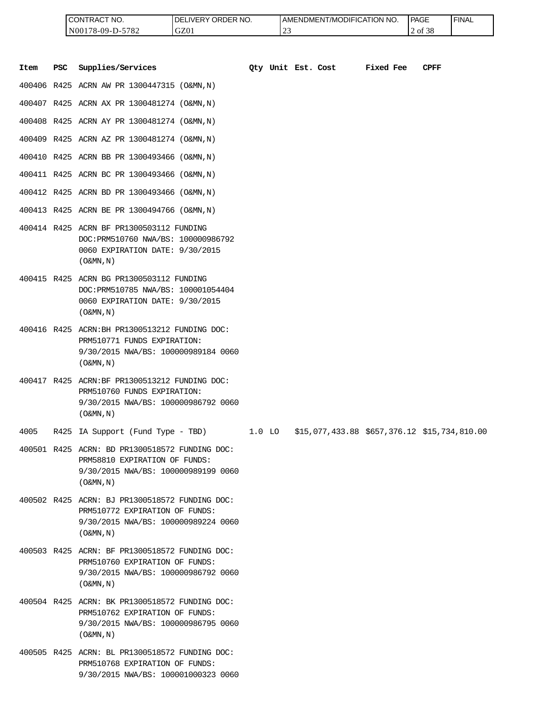| <b>ICONTRACT NO.</b> | LIVERY ORDER NO.<br>DEI | I AMENDMENT/MODIFICATION NO. | PAGE                    | 'FINAL |
|----------------------|-------------------------|------------------------------|-------------------------|--------|
| N00178-09-D-5782     | GZ01                    | $\sim$<br>ے سے               | $c \wedge c$<br>2 of 38 |        |

|      |            | CONTRACT NO.<br>N00178-09-D-5782                                                                                                                     | DELIVERY ORDER NO.<br>GZ01 |          | 23                 | AMENDMENT/MODIFICATION NO.                   |           | PAGE<br>2 of 38 | <b>FINAL</b> |
|------|------------|------------------------------------------------------------------------------------------------------------------------------------------------------|----------------------------|----------|--------------------|----------------------------------------------|-----------|-----------------|--------------|
| Item | <b>PSC</b> | Supplies/Services                                                                                                                                    |                            |          | Oty Unit Est. Cost |                                              | Fixed Fee | <b>CPFF</b>     |              |
|      |            | 400406 R425 ACRN AW PR 1300447315 (O&MN,N)                                                                                                           |                            |          |                    |                                              |           |                 |              |
|      |            | 400407 R425 ACRN AX PR 1300481274 (O&MN, N)                                                                                                          |                            |          |                    |                                              |           |                 |              |
|      |            | 400408 R425 ACRN AY PR 1300481274 (O&MN, N)                                                                                                          |                            |          |                    |                                              |           |                 |              |
|      |            | 400409 R425 ACRN AZ PR 1300481274 (O&MN, N)                                                                                                          |                            |          |                    |                                              |           |                 |              |
|      |            | 400410 R425 ACRN BB PR 1300493466 (O&MN,N)                                                                                                           |                            |          |                    |                                              |           |                 |              |
|      |            | 400411 R425 ACRN BC PR 1300493466 (O&MN, N)                                                                                                          |                            |          |                    |                                              |           |                 |              |
|      |            | 400412 R425 ACRN BD PR 1300493466 (O&MN, N)                                                                                                          |                            |          |                    |                                              |           |                 |              |
|      |            | 400413 R425 ACRN BE PR 1300494766 (O&MN,N)                                                                                                           |                            |          |                    |                                              |           |                 |              |
|      |            | 400414 R425 ACRN BF PR1300503112 FUNDING<br>DOC: PRM510760 NWA/BS: 100000986792<br>0060 EXPIRATION DATE: 9/30/2015<br>$($ O&MN, $N$ $)$              |                            |          |                    |                                              |           |                 |              |
|      |            | 400415 R425 ACRN BG PR1300503112 FUNDING<br>DOC: PRM510785 NWA/BS: 100001054404<br>0060 EXPIRATION DATE: 9/30/2015<br>$($ O&MN, $N$ $)$              |                            |          |                    |                                              |           |                 |              |
|      |            | 400416 R425 ACRN: BH PR1300513212 FUNDING DOC:<br>PRM510771 FUNDS EXPIRATION:<br>9/30/2015 NWA/BS: 100000989184 0060<br>$($ O&MN, $N$ $)$            |                            |          |                    |                                              |           |                 |              |
|      |            | 400417 R425 ACRN:BF PR1300513212 FUNDING DOC:<br>PRM510760 FUNDS EXPIRATION:<br>9/30/2015 NWA/BS: 100000986792 0060<br>$($ O&MN, N)                  |                            |          |                    |                                              |           |                 |              |
| 4005 |            | R425 IA Support (Fund Type - TBD)                                                                                                                    |                            | $1.0$ LO |                    | \$15,077,433.88 \$657,376.12 \$15,734,810.00 |           |                 |              |
|      |            | 400501 R425 ACRN: BD PR1300518572 FUNDING DOC:<br>PRM58810 EXPIRATION OF FUNDS:<br>9/30/2015 NWA/BS: 100000989199 0060<br>$($ O&MN, $\overline{N}$ ) |                            |          |                    |                                              |           |                 |              |
|      |            | 400502 R425 ACRN: BJ PR1300518572 FUNDING DOC:<br>PRM510772 EXPIRATION OF FUNDS:<br>9/30/2015 NWA/BS: 100000989224 0060<br>$($ O&MN, N)              |                            |          |                    |                                              |           |                 |              |
|      |            | 400503 R425 ACRN: BF PR1300518572 FUNDING DOC:<br>PRM510760 EXPIRATION OF FUNDS:<br>9/30/2015 NWA/BS: 100000986792 0060<br>$($ O&MN, N)              |                            |          |                    |                                              |           |                 |              |
|      |            | 400504 R425 ACRN: BK PR1300518572 FUNDING DOC:<br>PRM510762 EXPIRATION OF FUNDS:<br>9/30/2015 NWA/BS: 100000986795 0060<br>$($ O&MN, N)              |                            |          |                    |                                              |           |                 |              |
|      |            | 400505 R425 ACRN: BL PR1300518572 FUNDING DOC:<br>PRM510768 EXPIRATION OF FUNDS:<br>9/30/2015 NWA/BS: 100001000323 0060                              |                            |          |                    |                                              |           |                 |              |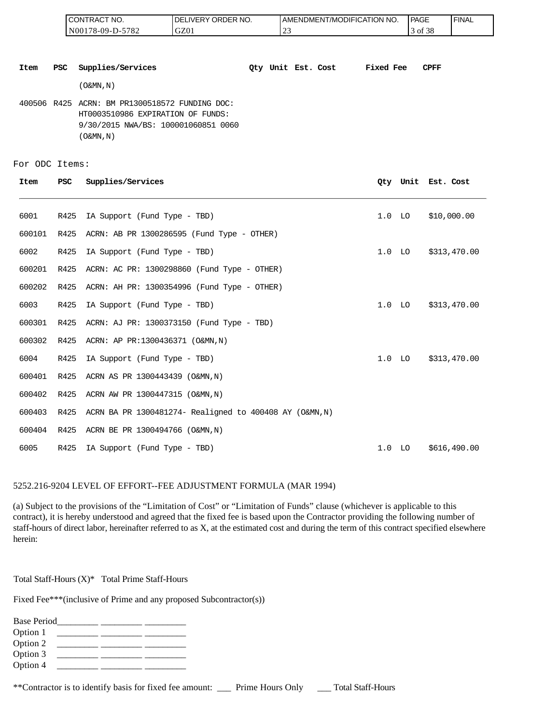| <b>CONTRACT</b><br>NO. | ' ORDER NO.<br>LIVERY (<br>DE. | <b>I AMENDMENT/MODIFICATION I</b><br>NO. | PAGE                  | ' FINAL |
|------------------------|--------------------------------|------------------------------------------|-----------------------|---------|
| 5782<br>N00178-09-D-5  | GZ01                           | $\sim$<br>ت سے                           | c o o<br>′ ot<br>- 20 |         |

**Item PSC Supplies/Services Qty Unit Est. Cost Fixed Fee CPFF**

(O&MN,N)

400506 R425 ACRN: BM PR1300518572 FUNDING DOC: HT0003510986 EXPIRATION OF FUNDS: 9/30/2015 NWA/BS: 100001060851 0060 (O&MN,N)

For ODC Items:

| Item   | <b>PSC</b> | Supplies/Services                                       |                   |                   | Oty Unit Est. Cost |
|--------|------------|---------------------------------------------------------|-------------------|-------------------|--------------------|
| 6001   | R425       | IA Support (Fund Type - TBD)                            |                   | $1.0$ LO          | \$10,000.00        |
| 600101 | R425       | ACRN: AB PR 1300286595 (Fund Type - OTHER)              |                   |                   |                    |
| 6002   | R425       | IA Support (Fund Type - TBD)                            |                   | 1.0 <sub>LO</sub> | \$313,470.00       |
| 600201 | R425       | ACRN: AC PR: 1300298860 (Fund Type - OTHER)             |                   |                   |                    |
| 600202 | R425       | ACRN: AH PR: 1300354996 (Fund Type - OTHER)             |                   |                   |                    |
| 6003   | R425       | IA Support (Fund Type - TBD)                            |                   | 1.0 <sub>LO</sub> | \$313,470.00       |
| 600301 | R425       | ACRN: AJ PR: 1300373150 (Fund Type - TBD)               |                   |                   |                    |
| 600302 | R425       | ACRN: AP PR:1300436371 (O&MN, N)                        |                   |                   |                    |
| 6004   | R425       | IA Support (Fund Type - TBD)                            |                   | 1.0 <sub>LO</sub> | \$313,470.00       |
| 600401 | R425       | ACRN AS PR 1300443439 (O&MN, N)                         |                   |                   |                    |
| 600402 | R425       | ACRN AW PR 1300447315 (O&MN, N)                         |                   |                   |                    |
| 600403 | R425       | ACRN BA PR 1300481274- Realigned to 400408 AY (O&MN, N) |                   |                   |                    |
| 600404 | R425       | ACRN BE PR 1300494766 (O&MN, N)                         |                   |                   |                    |
| 6005   | R425       | IA Support (Fund Type - TBD)                            | 1.0 <sub>LO</sub> |                   | \$616,490.00       |

#### 5252.216-9204 LEVEL OF EFFORT--FEE ADJUSTMENT FORMULA (MAR 1994)

(a) Subject to the provisions of the "Limitation of Cost" or "Limitation of Funds" clause (whichever is applicable to this contract), it is hereby understood and agreed that the fixed fee is based upon the Contractor providing the following number of staff-hours of direct labor, hereinafter referred to as X, at the estimated cost and during the term of this contract specified elsewhere herein:

Total Staff-Hours (X)\* Total Prime Staff-Hours

Fixed Fee\*\*\*(inclusive of Prime and any proposed Subcontractor(s))

| <b>Base Period</b> |  |  |
|--------------------|--|--|
| Option 1           |  |  |
| Option 2           |  |  |
| Option 3           |  |  |
| Option 4           |  |  |
|                    |  |  |

\*\*Contractor is to identify basis for fixed fee amount: \_\_\_ Prime Hours Only \_\_\_ Total Staff-Hours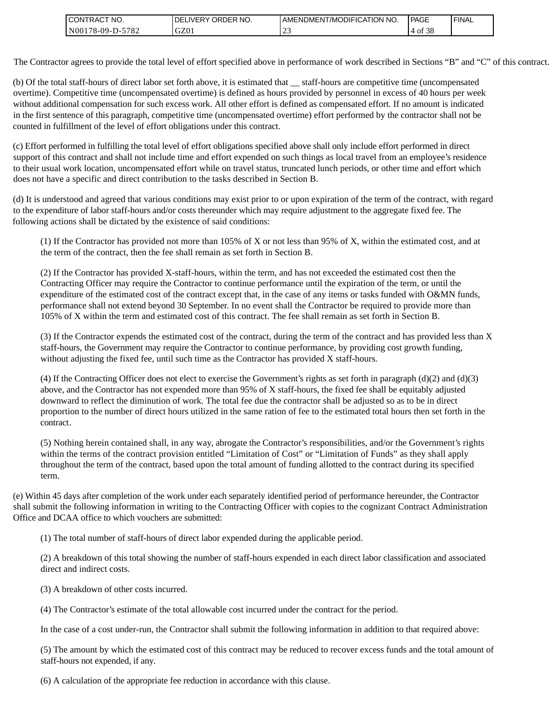| <b>CONTRACT</b><br>CT NO.           | LIVERY ORDER NO.<br>DEL | LAMENDMENT/MODIFICATION NO. | PAGE             | ' FINAL |
|-------------------------------------|-------------------------|-----------------------------|------------------|---------|
| N001<br>-5782<br>$178 - 09 - D - 5$ | GZ01                    | $\sim$<br><u>_</u>          | c oc<br>O1<br>эс |         |

The Contractor agrees to provide the total level of effort specified above in performance of work described in Sections "B" and "C" of this contract.

(b) Of the total staff-hours of direct labor set forth above, it is estimated that \_\_ staff-hours are competitive time (uncompensated overtime). Competitive time (uncompensated overtime) is defined as hours provided by personnel in excess of 40 hours per week without additional compensation for such excess work. All other effort is defined as compensated effort. If no amount is indicated in the first sentence of this paragraph, competitive time (uncompensated overtime) effort performed by the contractor shall not be counted in fulfillment of the level of effort obligations under this contract.

(c) Effort performed in fulfilling the total level of effort obligations specified above shall only include effort performed in direct support of this contract and shall not include time and effort expended on such things as local travel from an employee's residence to their usual work location, uncompensated effort while on travel status, truncated lunch periods, or other time and effort which does not have a specific and direct contribution to the tasks described in Section B.

(d) It is understood and agreed that various conditions may exist prior to or upon expiration of the term of the contract, with regard to the expenditure of labor staff-hours and/or costs thereunder which may require adjustment to the aggregate fixed fee. The following actions shall be dictated by the existence of said conditions:

(1) If the Contractor has provided not more than 105% of X or not less than 95% of X, within the estimated cost, and at the term of the contract, then the fee shall remain as set forth in Section B.

(2) If the Contractor has provided X-staff-hours, within the term, and has not exceeded the estimated cost then the Contracting Officer may require the Contractor to continue performance until the expiration of the term, or until the expenditure of the estimated cost of the contract except that, in the case of any items or tasks funded with O&MN funds, performance shall not extend beyond 30 September. In no event shall the Contractor be required to provide more than 105% of X within the term and estimated cost of this contract. The fee shall remain as set forth in Section B.

(3) If the Contractor expends the estimated cost of the contract, during the term of the contract and has provided less than X staff-hours, the Government may require the Contractor to continue performance, by providing cost growth funding, without adjusting the fixed fee, until such time as the Contractor has provided X staff-hours.

(4) If the Contracting Officer does not elect to exercise the Government's rights as set forth in paragraph  $(d)(2)$  and  $(d)(3)$ above, and the Contractor has not expended more than 95% of X staff-hours, the fixed fee shall be equitably adjusted downward to reflect the diminution of work. The total fee due the contractor shall be adjusted so as to be in direct proportion to the number of direct hours utilized in the same ration of fee to the estimated total hours then set forth in the contract.

(5) Nothing herein contained shall, in any way, abrogate the Contractor's responsibilities, and/or the Government's rights within the terms of the contract provision entitled "Limitation of Cost" or "Limitation of Funds" as they shall apply throughout the term of the contract, based upon the total amount of funding allotted to the contract during its specified term.

(e) Within 45 days after completion of the work under each separately identified period of performance hereunder, the Contractor shall submit the following information in writing to the Contracting Officer with copies to the cognizant Contract Administration Office and DCAA office to which vouchers are submitted:

(1) The total number of staff-hours of direct labor expended during the applicable period.

(2) A breakdown of this total showing the number of staff-hours expended in each direct labor classification and associated direct and indirect costs.

(3) A breakdown of other costs incurred.

(4) The Contractor's estimate of the total allowable cost incurred under the contract for the period.

In the case of a cost under-run, the Contractor shall submit the following information in addition to that required above:

(5) The amount by which the estimated cost of this contract may be reduced to recover excess funds and the total amount of staff-hours not expended, if any.

(6) A calculation of the appropriate fee reduction in accordance with this clause.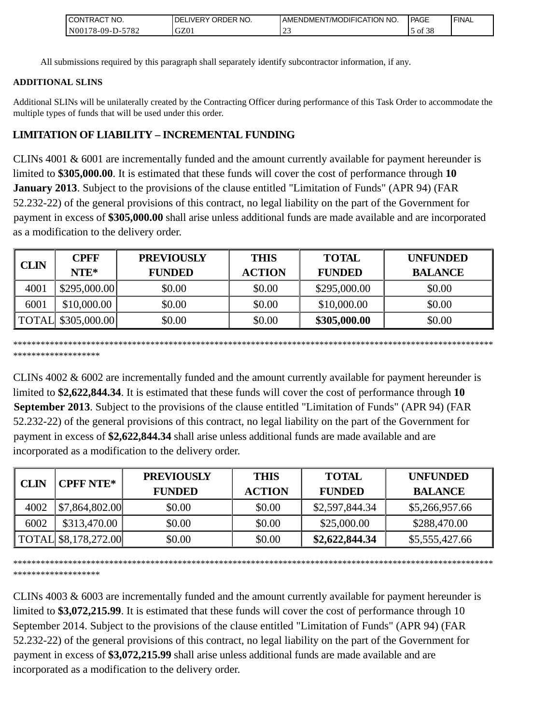| NO.<br><b>CONTRACT</b>                  | NO.<br><b>ORDER</b><br>.IVERY<br>DF | MODIFICATION NO.<br>AMENDMENT | <b>PAGE</b>                                          | ' FINAL |
|-----------------------------------------|-------------------------------------|-------------------------------|------------------------------------------------------|---------|
| 5782<br>N <sub>00</sub><br>$178-09-D$ - | GZ01                                | --                            | $\Delta$ <sup><math>\alpha</math></sup><br>ΟĪ<br>-20 |         |

All submissions required by this paragraph shall separately identify subcontractor information, if any.

### **ADDITIONAL SLINS**

Additional SLINs will be unilaterally created by the Contracting Officer during performance of this Task Order to accommodate the multiple types of funds that will be used under this order.

# **LIMITATION OF LIABILITY – INCREMENTAL FUNDING**

CLINs 4001 & 6001 are incrementally funded and the amount currently available for payment hereunder is limited to **\$305,000.00**. It is estimated that these funds will cover the cost of performance through **10 January 2013**. Subject to the provisions of the clause entitled "Limitation of Funds" (APR 94) (FAR 52.232-22) of the general provisions of this contract, no legal liability on the part of the Government for payment in excess of **\$305,000.00** shall arise unless additional funds are made available and are incorporated as a modification to the delivery order.

| <b>CLIN</b> | <b>CPFF</b>         | <b>PREVIOUSLY</b> | <b>THIS</b>   | <b>TOTAL</b>  | <b>UNFUNDED</b> |
|-------------|---------------------|-------------------|---------------|---------------|-----------------|
|             | $NTE*$              | <b>FUNDED</b>     | <b>ACTION</b> | <b>FUNDED</b> | <b>BALANCE</b>  |
| 4001        | \$295,000.00]       | \$0.00            | \$0.00        | \$295,000.00  | \$0.00          |
| 6001        | \$10,000.00         | \$0.00            | \$0.00        | \$10,000.00   | \$0.00          |
|             | TOTAL \\$305,000.00 | \$0.00            | \$0.00        | \$305,000.00  | \$0.00          |

\*\*\*\*\*\*\*\*\*\*\*\*\*\*\*\*\*\*\*\*\*\*\*\*\*\*\*\*\*\*\*\*\*\*\*\*\*\*\*\*\*\*\*\*\*\*\*\*\*\*\*\*\*\*\*\*\*\*\*\*\*\*\*\*\*\*\*\*\*\*\*\*\*\*\*\*\*\*\*\*\*\*\*\*\*\*\*\*\*\*\*\*\*\*\*\*\*\*\*\*\*\*\*\*\* \*\*\*\*\*\*\*\*\*\*\*\*\*\*\*\*\*\*\*

CLINs 4002 & 6002 are incrementally funded and the amount currently available for payment hereunder is limited to **\$2,622,844.34**. It is estimated that these funds will cover the cost of performance through **10 September 2013**. Subject to the provisions of the clause entitled "Limitation of Funds" (APR 94) (FAR 52.232-22) of the general provisions of this contract, no legal liability on the part of the Government for payment in excess of **\$2,622,844.34** shall arise unless additional funds are made available and are incorporated as a modification to the delivery order.

|             | <b>CPFF NTE*</b>     | <b>PREVIOUSLY</b> | <b>THIS</b>   | <b>TOTAL</b>   | <b>UNFUNDED</b> |
|-------------|----------------------|-------------------|---------------|----------------|-----------------|
| <b>CLIN</b> |                      | <b>FUNDED</b>     | <b>ACTION</b> | <b>FUNDED</b>  | <b>BALANCE</b>  |
| 4002        | \$7,864,802.00       | \$0.00            | \$0.00        | \$2,597,844.34 | \$5,266,957.66  |
| 6002        | \$313,470.00         | \$0.00            | \$0.00        | \$25,000.00    | \$288,470.00    |
|             | TOTAL \$8,178,272.00 | \$0.00            | \$0.00        | \$2,622,844.34 | \$5,555,427.66  |

\*\*\*\*\*\*\*\*\*\*\*\*\*\*\*\*\*\*\*\*\*\*\*\*\*\*\*\*\*\*\*\*\*\*\*\*\*\*\*\*\*\*\*\*\*\*\*\*\*\*\*\*\*\*\*\*\*\*\*\*\*\*\*\*\*\*\*\*\*\*\*\*\*\*\*\*\*\*\*\*\*\*\*\*\*\*\*\*\*\*\*\*\*\*\*\*\*\*\*\*\*\*\*\*\* \*\*\*\*\*\*\*\*\*\*\*\*\*\*\*\*\*\*\*

CLINs 4003 & 6003 are incrementally funded and the amount currently available for payment hereunder is limited to **\$3,072,215.99**. It is estimated that these funds will cover the cost of performance through 10 September 2014. Subject to the provisions of the clause entitled "Limitation of Funds" (APR 94) (FAR 52.232-22) of the general provisions of this contract, no legal liability on the part of the Government for payment in excess of **\$3,072,215.99** shall arise unless additional funds are made available and are CLINS 4001 and the minimization of the minimization of the minimization of the delivery order.<br>
All submissions required by this paragraph shall separated by the Contract<br>
ADDITIONAL SLINS<br>
ADDITIONAL SLINS<br>
CLINS 4001 &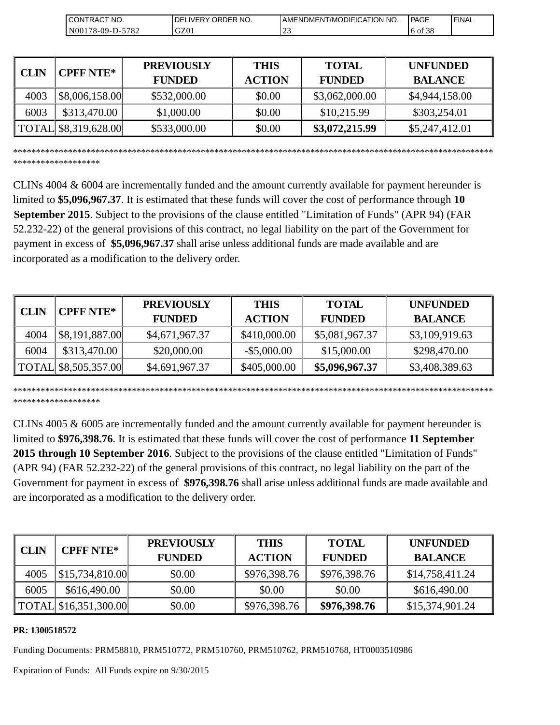| 'NO.<br>RACT<br>JON'                                         | ORDER NO.<br>_IVER`<br>⊣ 7⊢ | <b>NO</b><br>AMENDMENT/MODIFICATION I | l PAGE     | <b>I FINAL</b> |
|--------------------------------------------------------------|-----------------------------|---------------------------------------|------------|----------------|
| $570^{\circ}$<br>N <sub>00</sub> 1<br>$.8 - 09 - D -$<br>182 | GZ01                        | $\sim$<br>ر _                         | 38<br>6 of |                |

|                             | CONTRACT NO.<br>N00178-09-D-5782      | DELIVERY ORDER NO.<br>GZ01                                                                                                                                                                                                                                                                                                                                                                                                                                                                                                                                                                                                                      | AMENDMENT/MODIFICATION NO.<br>23 |                               | 6 of 38                           |
|-----------------------------|---------------------------------------|-------------------------------------------------------------------------------------------------------------------------------------------------------------------------------------------------------------------------------------------------------------------------------------------------------------------------------------------------------------------------------------------------------------------------------------------------------------------------------------------------------------------------------------------------------------------------------------------------------------------------------------------------|----------------------------------|-------------------------------|-----------------------------------|
|                             |                                       |                                                                                                                                                                                                                                                                                                                                                                                                                                                                                                                                                                                                                                                 |                                  |                               |                                   |
| <b>CLIN</b>                 | <b>CPFF NTE*</b>                      | <b>PREVIOUSLY</b><br><b>FUNDED</b>                                                                                                                                                                                                                                                                                                                                                                                                                                                                                                                                                                                                              | <b>THIS</b><br><b>ACTION</b>     | <b>TOTAL</b><br><b>FUNDED</b> | <b>UNFUNDED</b><br><b>BALANCE</b> |
| 4003                        | \$8,006,158.00                        | \$532,000.00                                                                                                                                                                                                                                                                                                                                                                                                                                                                                                                                                                                                                                    | \$0.00                           | \$3,062,000.00                | \$4,944,158.00                    |
| 6003                        | \$313,470.00                          | \$1,000.00                                                                                                                                                                                                                                                                                                                                                                                                                                                                                                                                                                                                                                      | \$0.00                           | \$10,215.99                   | \$303,254.01                      |
| <b>TOTAL</b>                | \$8,319,628.00                        | \$533,000.00                                                                                                                                                                                                                                                                                                                                                                                                                                                                                                                                                                                                                                    | \$0.00                           | \$3,072,215.99                | \$5,247,412.01                    |
|                             | ******************                    | CLINs $4004 \& 6004$ are incrementally funded and the amount currently available for payment hereunder is<br>limited to \$5,096,967.37. It is estimated that these funds will cover the cost of performance through 10<br>September 2015. Subject to the provisions of the clause entitled "Limitation of Funds" (APR 94) (FAR<br>52.232-22) of the general provisions of this contract, no legal liability on the part of the Government for<br>payment in excess of \$5,096,967.37 shall arise unless additional funds are made available and are<br>incorporated as a modification to the delivery order.                                    |                                  |                               |                                   |
|                             |                                       |                                                                                                                                                                                                                                                                                                                                                                                                                                                                                                                                                                                                                                                 |                                  |                               |                                   |
|                             | <b>CPFF NTE*</b>                      | <b>PREVIOUSLY</b><br><b>FUNDED</b>                                                                                                                                                                                                                                                                                                                                                                                                                                                                                                                                                                                                              | <b>THIS</b><br><b>ACTION</b>     | <b>TOTAL</b><br><b>FUNDED</b> | <b>UNFUNDED</b><br><b>BALANCE</b> |
| 4004                        | \$8,191,887.00                        | \$4,671,967.37                                                                                                                                                                                                                                                                                                                                                                                                                                                                                                                                                                                                                                  | \$410,000.00                     | \$5,081,967.37                | \$3,109,919.63                    |
| 6004                        | \$313,470.00                          | \$20,000.00                                                                                                                                                                                                                                                                                                                                                                                                                                                                                                                                                                                                                                     | $-$ \$5,000.00                   | \$15,000.00                   | \$298,470.00                      |
|                             | \$8,505,357.00<br>******************  | \$4,691,967.37                                                                                                                                                                                                                                                                                                                                                                                                                                                                                                                                                                                                                                  | \$405,000.00                     | \$5,096,967.37                | \$3,408,389.63                    |
| <b>CLIN</b><br><b>TOTAL</b> |                                       | CLINs $4005 \& 6005$ are incrementally funded and the amount currently available for payment hereunder is<br>limited to \$976,398.76. It is estimated that these funds will cover the cost of performance 11 September<br>2015 through 10 September 2016. Subject to the provisions of the clause entitled "Limitation of Funds"<br>(APR 94) (FAR 52.232-22) of the general provisions of this contract, no legal liability on the part of the<br>Government for payment in excess of \$976,398.76 shall arise unless additional funds are made available and<br>are incorporated as a modification to the delivery order.<br><b>PREVIOUSLY</b> | <b>THIS</b>                      | <b>TOTAL</b>                  | <b>UNFUNDED</b>                   |
|                             | <b>CPFF NTE*</b>                      | <b>FUNDED</b>                                                                                                                                                                                                                                                                                                                                                                                                                                                                                                                                                                                                                                   | <b>ACTION</b>                    | <b>FUNDED</b>                 | <b>BALANCE</b>                    |
| 4005                        | \$15,734,810.00                       | \$0.00                                                                                                                                                                                                                                                                                                                                                                                                                                                                                                                                                                                                                                          | \$976,398.76                     | \$976,398.76                  | \$14,758,411.24                   |
| <b>CLIN</b><br>6005         | \$616,490.00<br>TOTAL \$16,351,300.00 | \$0.00                                                                                                                                                                                                                                                                                                                                                                                                                                                                                                                                                                                                                                          | \$0.00                           | \$0.00                        | \$616,490.00                      |

|             | <b>PREVIOUSLY</b><br><b>CPFF NTE*</b> |                | <b>THIS</b>    | <b>TOTAL</b>   | <b>UNFUNDED</b> |
|-------------|---------------------------------------|----------------|----------------|----------------|-----------------|
| <b>CLIN</b> |                                       | <b>FUNDED</b>  | <b>ACTION</b>  | <b>FUNDED</b>  | <b>BALANCE</b>  |
| 4004        | \$8,191,887.00                        | \$4,671,967.37 | \$410,000.00   | \$5,081,967.37 | \$3,109,919.63  |
| 6004        | \$313,470.00                          | \$20,000.00    | $-$ \$5,000.00 | \$15,000.00    | \$298,470.00    |
|             | TOTAL \$8,505,357.00                  | \$4,691,967.37 | \$405,000.00   | \$5,096,967.37 | \$3,408,389.63  |

|             | <b>CPFF NTE*</b>      | <b>PREVIOUSLY</b> | <b>THIS</b>   | <b>TOTAL</b>  | <b>UNFUNDED</b> |
|-------------|-----------------------|-------------------|---------------|---------------|-----------------|
| <b>CLIN</b> |                       | <b>FUNDED</b>     | <b>ACTION</b> | <b>FUNDED</b> | <b>BALANCE</b>  |
| 4005        | \$15,734,810.00       | \$0.00            | \$976,398.76  | \$976,398.76  | \$14,758,411.24 |
| 6005        | \$616,490.00          | \$0.00            | \$0.00        | \$0.00        | \$616,490.00    |
|             | TOTAL \$16,351,300.00 | \$0.00            | \$976,398.76  | \$976,398.76  | \$15,374,901.24 |

### **PR: 1300518572**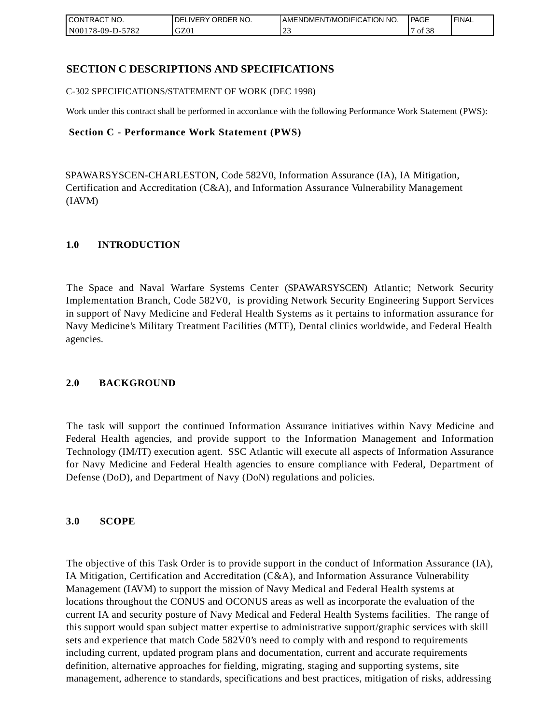| CONTRACT<br>CT NO.           | NO.<br>ORDER<br><b>DELIVERY</b> | AMENDMENT/MODIFICATION NO. | PAGE               | <b>I FINAL</b> |
|------------------------------|---------------------------------|----------------------------|--------------------|----------------|
| 5782<br>N001<br>$178-09-D$ - | GZ0 <sub>1</sub>                | <u>_</u>                   | $\sqrt{138}$<br>οt |                |

## **SECTION C DESCRIPTIONS AND SPECIFICATIONS**

C-302 SPECIFICATIONS/STATEMENT OF WORK (DEC 1998)

Work under this contract shall be performed in accordance with the following Performance Work Statement (PWS):

#### **Section C - Performance Work Statement (PWS)**

SPAWARSYSCEN-CHARLESTON, Code 582V0, Information Assurance (IA), IA Mitigation, Certification and Accreditation (C&A), and Information Assurance Vulnerability Management (IAVM)

### **1.0 INTRODUCTION**

The Space and Naval Warfare Systems Center (SPAWARSYSCEN) Atlantic; Network Security Implementation Branch, Code 582V0, is providing Network Security Engineering Support Services in support of Navy Medicine and Federal Health Systems as it pertains to information assurance for Navy Medicine's Military Treatment Facilities (MTF), Dental clinics worldwide, and Federal Health agencies.

### **2.0 BACKGROUND**

The task will support the continued Information Assurance initiatives within Navy Medicine and Federal Health agencies, and provide support to the Information Management and Information Technology (IM/IT) execution agent. SSC Atlantic will execute all aspects of Information Assurance for Navy Medicine and Federal Health agencies to ensure compliance with Federal, Department of Defense (DoD), and Department of Navy (DoN) regulations and policies.

### **3.0 SCOPE**

The objective of this Task Order is to provide support in the conduct of Information Assurance (IA), IA Mitigation, Certification and Accreditation (C&A), and Information Assurance Vulnerability Management (IAVM) to support the mission of Navy Medical and Federal Health systems at locations throughout the CONUS and OCONUS areas as well as incorporate the evaluation of the current IA and security posture of Navy Medical and Federal Health Systems facilities. The range of this support would span subject matter expertise to administrative support/graphic services with skill sets and experience that match Code 582V0's need to comply with and respond to requirements including current, updated program plans and documentation, current and accurate requirements definition, alternative approaches for fielding, migrating, staging and supporting systems, site management, adherence to standards, specifications and best practices, mitigation of risks, addressing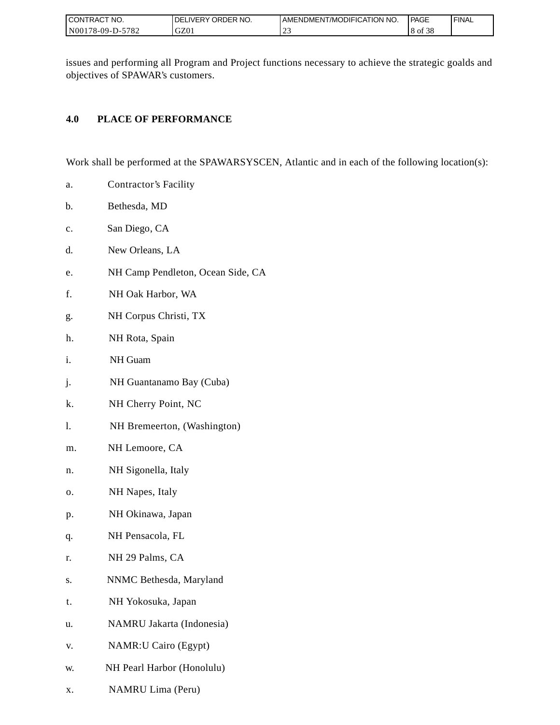| I CONTRACT NO.   | ' ORDER NO.<br><b>IVERY</b><br>DEI | I AMENDMENT/MODIFICATION NO. | PAGE                | <b>FINAL</b> |
|------------------|------------------------------------|------------------------------|---------------------|--------------|
| N00178-09-D-5782 | GZ01                               | $\sim$<br>ب سے               | ں م<br>'8 of<br>-20 |              |

issues and performing all Program and Project functions necessary to achieve the strategic goalds and objectives of SPAWAR's customers.

## **4.0 PLACE OF PERFORMANCE**

Work shall be performed at the SPAWARSYSCEN, Atlantic and in each of the following location(s):

- a. Contractor's Facility
- b. Bethesda, MD
- c. San Diego, CA
- d. New Orleans, LA
- e. NH Camp Pendleton, Ocean Side, CA
- f. NH Oak Harbor, WA
- g. NH Corpus Christi, TX
- h. NH Rota, Spain
- i. NH Guam
- j. NH Guantanamo Bay (Cuba)
- k. NH Cherry Point, NC
- l. NH Bremeerton, (Washington)
- m. NH Lemoore, CA
- n. NH Sigonella, Italy
- o. NH Napes, Italy
- p. NH Okinawa, Japan
- q. NH Pensacola, FL
- r. NH 29 Palms, CA
- s. NNMC Bethesda, Maryland
- t. NH Yokosuka, Japan
- u. NAMRU Jakarta (Indonesia)
- v. NAMR:U Cairo (Egypt)
- w. NH Pearl Harbor (Honolulu)
- x. NAMRU Lima (Peru)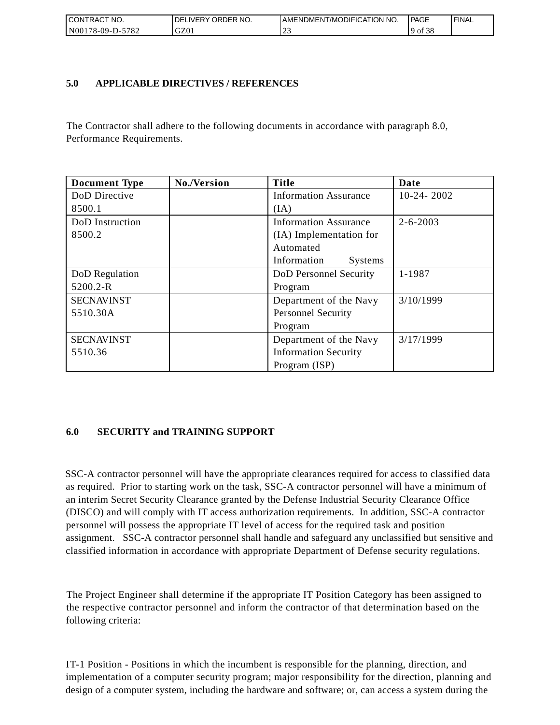| I CONTRACT NO.   | DELIVERY ORDER NO. | AMENDMENT/MODIFICATION NO. | PAGE                                  | ' FINAL |
|------------------|--------------------|----------------------------|---------------------------------------|---------|
| N00178-09-D-5782 | GZ01               |                            | $c \Delta$<br>9 <sub>of</sub><br>- 38 |         |

## **5.0 APPLICABLE DIRECTIVES / REFERENCES**

The Contractor shall adhere to the following documents in accordance with paragraph 8.0, Performance Requirements.

| <b>Document Type</b> | No./Version | <b>Title</b>                  | Date           |
|----------------------|-------------|-------------------------------|----------------|
| DoD Directive        |             | <b>Information Assurance</b>  | $10-24-2002$   |
| 8500.1               |             | (IA)                          |                |
| DoD Instruction      |             | <b>Information Assurance</b>  | $2 - 6 - 2003$ |
| 8500.2               |             | (IA) Implementation for       |                |
|                      |             | Automated                     |                |
|                      |             | Information<br><b>Systems</b> |                |
| DoD Regulation       |             | DoD Personnel Security        | 1-1987         |
| 5200.2-R             |             | Program                       |                |
| <b>SECNAVINST</b>    |             | Department of the Navy        | 3/10/1999      |
| 5510.30A             |             | <b>Personnel Security</b>     |                |
|                      |             | Program                       |                |
| <b>SECNAVINST</b>    |             | Department of the Navy        | 3/17/1999      |
| 5510.36              |             | <b>Information Security</b>   |                |
|                      |             | Program (ISP)                 |                |

## **6.0 SECURITY and TRAINING SUPPORT**

SSC-A contractor personnel will have the appropriate clearances required for access to classified data as required. Prior to starting work on the task, SSC-A contractor personnel will have a minimum of an interim Secret Security Clearance granted by the Defense Industrial Security Clearance Office (DISCO) and will comply with IT access authorization requirements. In addition, SSC-A contractor personnel will possess the appropriate IT level of access for the required task and position assignment. SSC-A contractor personnel shall handle and safeguard any unclassified but sensitive and classified information in accordance with appropriate Department of Defense security regulations.

The Project Engineer shall determine if the appropriate IT Position Category has been assigned to the respective contractor personnel and inform the contractor of that determination based on the following criteria:

IT-1 Position - Positions in which the incumbent is responsible for the planning, direction, and implementation of a computer security program; major responsibility for the direction, planning and design of a computer system, including the hardware and software; or, can access a system during the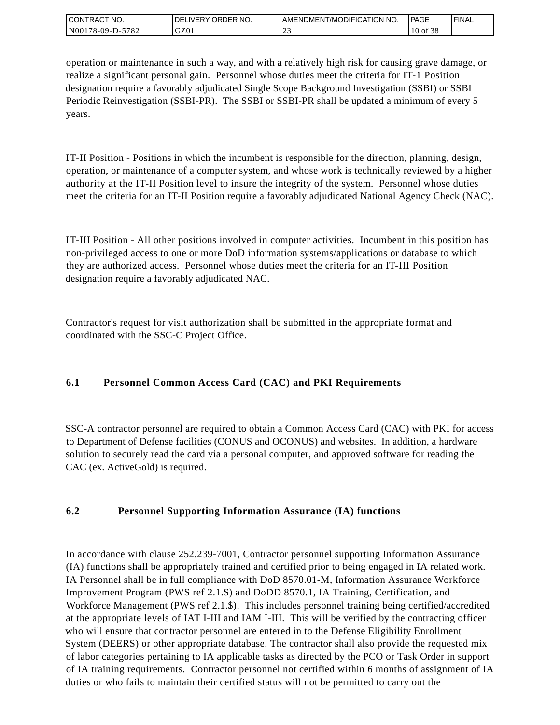| I CONTRACT NO.                    | DELIVERY ORDER NO. | AMENDMENT/MODIFICATION NO. | l PAGE   | ' FINAL |
|-----------------------------------|--------------------|----------------------------|----------|---------|
| 178-09-D-5782<br>N <sub>001</sub> | GZ01               |                            | 10 of 38 |         |

operation or maintenance in such a way, and with a relatively high risk for causing grave damage, or realize a significant personal gain. Personnel whose duties meet the criteria for IT-1 Position designation require a favorably adjudicated Single Scope Background Investigation (SSBI) or SSBI Periodic Reinvestigation (SSBI-PR). The SSBI or SSBI-PR shall be updated a minimum of every 5 years.

IT-II Position - Positions in which the incumbent is responsible for the direction, planning, design, operation, or maintenance of a computer system, and whose work is technically reviewed by a higher authority at the IT-II Position level to insure the integrity of the system. Personnel whose duties meet the criteria for an IT-II Position require a favorably adjudicated National Agency Check (NAC).

IT-III Position - All other positions involved in computer activities. Incumbent in this position has non-privileged access to one or more DoD information systems/applications or database to which they are authorized access. Personnel whose duties meet the criteria for an IT-III Position designation require a favorably adjudicated NAC.

Contractor's request for visit authorization shall be submitted in the appropriate format and coordinated with the SSC-C Project Office.

# **6.1 Personnel Common Access Card (CAC) and PKI Requirements**

SSC-A contractor personnel are required to obtain a Common Access Card (CAC) with PKI for access to Department of Defense facilities (CONUS and OCONUS) and websites. In addition, a hardware solution to securely read the card via a personal computer, and approved software for reading the CAC (ex. ActiveGold) is required.

## **6.2 Personnel Supporting Information Assurance (IA) functions**

In accordance with clause 252.239-7001, Contractor personnel supporting Information Assurance (IA) functions shall be appropriately trained and certified prior to being engaged in IA related work. IA Personnel shall be in full compliance with DoD 8570.01-M, Information Assurance Workforce Improvement Program (PWS ref 2.1.\$) and DoDD 8570.1, IA Training, Certification, and Workforce Management (PWS ref 2.1.\$). This includes personnel training being certified/accredited at the appropriate levels of IAT I-III and IAM I-III. This will be verified by the contracting officer who will ensure that contractor personnel are entered in to the Defense Eligibility Enrollment System (DEERS) or other appropriate database. The contractor shall also provide the requested mix of labor categories pertaining to IA applicable tasks as directed by the PCO or Task Order in support of IA training requirements. Contractor personnel not certified within 6 months of assignment of IA duties or who fails to maintain their certified status will not be permitted to carry out the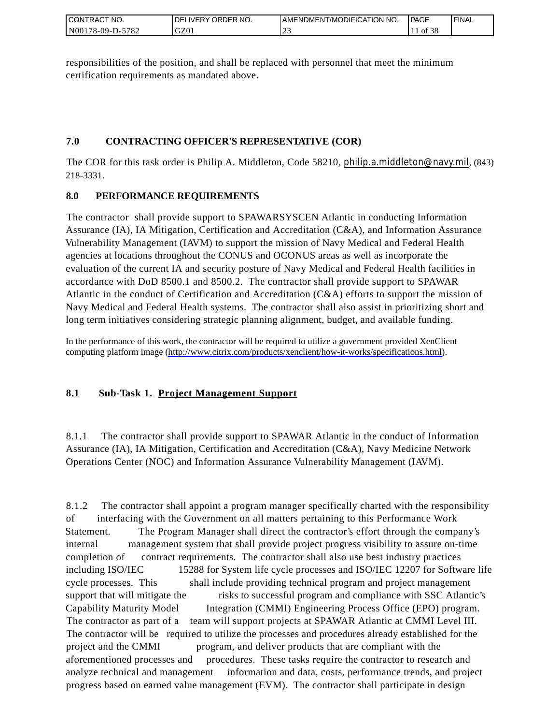| CONTRACT<br>°CT NO.                         | NO.<br>' ORDER<br><b>DELIVERY</b> | AMENDMENT/MODIFICATION NO. | <b>PAGE</b>   | ' FINAL |
|---------------------------------------------|-----------------------------------|----------------------------|---------------|---------|
| $-5782$<br>N <sub>001</sub><br>$178-09-D$ - | GZ01                              | ب سے                       | $\cdot$ of 38 |         |

responsibilities of the position, and shall be replaced with personnel that meet the minimum certification requirements as mandated above.

## **7.0 CONTRACTING OFFICER'S REPRESENTATIVE (COR)**

The COR for this task order is Philip A. Middleton, Code 58210, [philip.a.middleton@navy.mil](mailto:cphilip.a.middleton@navy.mil), (843) 218-3331.

# **8.0 PERFORMANCE REQUIREMENTS**

The contractor shall provide support to SPAWARSYSCEN Atlantic in conducting Information Assurance (IA), IA Mitigation, Certification and Accreditation (C&A), and Information Assurance Vulnerability Management (IAVM) to support the mission of Navy Medical and Federal Health agencies at locations throughout the CONUS and OCONUS areas as well as incorporate the evaluation of the current IA and security posture of Navy Medical and Federal Health facilities in accordance with DoD 8500.1 and 8500.2. The contractor shall provide support to SPAWAR Atlantic in the conduct of Certification and Accreditation (C&A) efforts to support the mission of Navy Medical and Federal Health systems. The contractor shall also assist in prioritizing short and long term initiatives considering strategic planning alignment, budget, and available funding.

In the performance of this work, the contractor will be required to utilize a government provided XenClient computing platform image [\(http://www.citrix.com/products/xenclient/how-it-works/specifications.html\)](http://www.citrix.com/products/xenclient/how-it-works/specifications.html).

# **8.1 Sub-Task 1. Project Management Support**

8.1.1 The contractor shall provide support to SPAWAR Atlantic in the conduct of Information Assurance (IA), IA Mitigation, Certification and Accreditation (C&A), Navy Medicine Network Operations Center (NOC) and Information Assurance Vulnerability Management (IAVM).

8.1.2 The contractor shall appoint a program manager specifically charted with the responsibility of interfacing with the Government on all matters pertaining to this Performance Work Statement. The Program Manager shall direct the contractor's effort through the company's internal management system that shall provide project progress visibility to assure on-time completion of contract requirements. The contractor shall also use best industry practices including ISO/IEC 15288 for System life cycle processes and ISO/IEC 12207 for Software life cycle processes. This shall include providing technical program and project management support that will mitigate the risks to successful program and compliance with SSC Atlantic's Capability Maturity Model Integration (CMMI) Engineering Process Office (EPO) program. The contractor as part of a team will support projects at SPAWAR Atlantic at CMMI Level III. The contractor will be required to utilize the processes and procedures already established for the project and the CMMI program, and deliver products that are compliant with the aforementioned processes and procedures. These tasks require the contractor to research and analyze technical and management information and data, costs, performance trends, and project progress based on earned value management (EVM). The contractor shall participate in design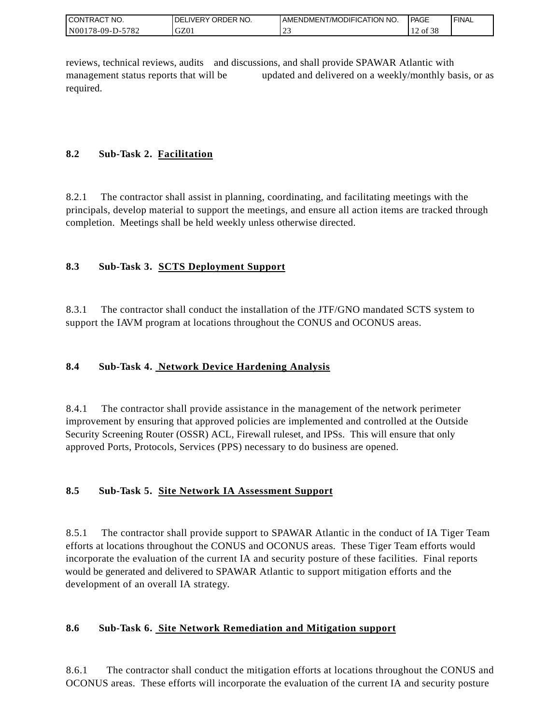| <b>CON</b><br>`CT NO.<br>TRAC | ORDER NO.<br><b>IVERY</b><br>DEI | AMENDMENT/MODIFICATION NO. | <sup>1</sup> PAGE                              | ' FINAL |
|-------------------------------|----------------------------------|----------------------------|------------------------------------------------|---------|
| N001<br>5782<br>$178-09-D$ -  | GZ01                             | $\sim$<br>ب سے             | $\sim$ $\sim$ $\sim$<br>$\sim$<br>of 38<br>. . |         |

reviews, technical reviews, audits and discussions, and shall provide SPAWAR Atlantic with management status reports that will be updated and delivered on a weekly/monthly basis, or as required.

## **8.2 Sub-Task 2. Facilitation**

8.2.1 The contractor shall assist in planning, coordinating, and facilitating meetings with the principals, develop material to support the meetings, and ensure all action items are tracked through completion. Meetings shall be held weekly unless otherwise directed.

# **8.3 Sub-Task 3. SCTS Deployment Support**

8.3.1 The contractor shall conduct the installation of the JTF/GNO mandated SCTS system to support the IAVM program at locations throughout the CONUS and OCONUS areas.

## **8.4 Sub-Task 4. Network Device Hardening Analysis**

8.4.1 The contractor shall provide assistance in the management of the network perimeter improvement by ensuring that approved policies are implemented and controlled at the Outside Security Screening Router (OSSR) ACL, Firewall ruleset, and IPSs. This will ensure that only approved Ports, Protocols, Services (PPS) necessary to do business are opened.

## **8.5 Sub-Task 5. Site Network IA Assessment Support**

8.5.1 The contractor shall provide support to SPAWAR Atlantic in the conduct of IA Tiger Team efforts at locations throughout the CONUS and OCONUS areas. These Tiger Team efforts would incorporate the evaluation of the current IA and security posture of these facilities. Final reports would be generated and delivered to SPAWAR Atlantic to support mitigation efforts and the development of an overall IA strategy.

## **8.6 Sub-Task 6. Site Network Remediation and Mitigation support**

8.6.1 The contractor shall conduct the mitigation efforts at locations throughout the CONUS and OCONUS areas. These efforts will incorporate the evaluation of the current IA and security posture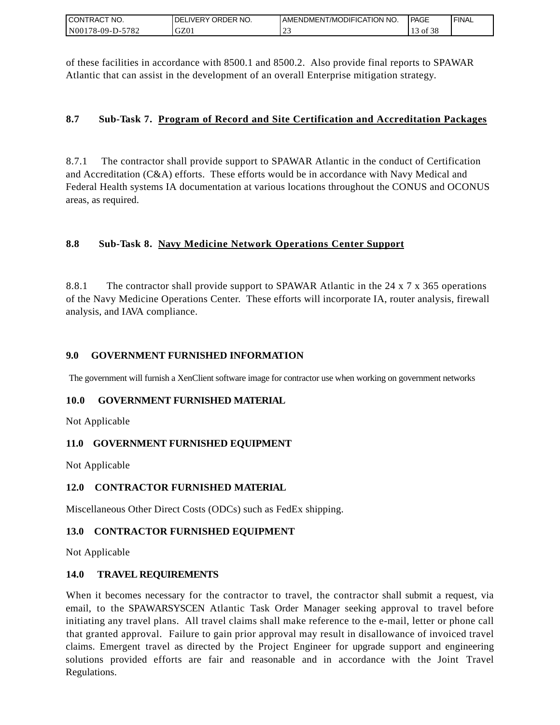| I CONTRACT NO.   | DELIVERY ORDER NO. | AMENDMENT/MODIFICATION NO. | PAGE       | ' FINAL |
|------------------|--------------------|----------------------------|------------|---------|
| N00178-09-D-5782 | GZ01               |                            | f 38<br>ΟĪ |         |

of these facilities in accordance with 8500.1 and 8500.2. Also provide final reports to SPAWAR Atlantic that can assist in the development of an overall Enterprise mitigation strategy.

## **8.7 Sub-Task 7. Program of Record and Site Certification and Accreditation Packages**

8.7.1 The contractor shall provide support to SPAWAR Atlantic in the conduct of Certification and Accreditation (C&A) efforts. These efforts would be in accordance with Navy Medical and Federal Health systems IA documentation at various locations throughout the CONUS and OCONUS areas, as required.

## **8.8 Sub-Task 8. Navy Medicine Network Operations Center Support**

8.8.1 The contractor shall provide support to SPAWAR Atlantic in the 24 x 7 x 365 operations of the Navy Medicine Operations Center. These efforts will incorporate IA, router analysis, firewall analysis, and IAVA compliance.

### **9.0 GOVERNMENT FURNISHED INFORMATION**

The government will furnish a XenClient software image for contractor use when working on government networks

### **10.0 GOVERNMENT FURNISHED MATERIAL**

Not Applicable

### **11.0 GOVERNMENT FURNISHED EQUIPMENT**

Not Applicable

### **12.0 CONTRACTOR FURNISHED MATERIAL**

Miscellaneous Other Direct Costs (ODCs) such as FedEx shipping.

### **13.0 CONTRACTOR FURNISHED EQUIPMENT**

Not Applicable

### **14.0 TRAVEL REQUIREMENTS**

CONTRACT NO.<br>
NO0178-09-D-5<br>
CONTRACT NO.<br>
NO0178-09-D-5<br>
Of these facili<br>
Atlantic that of<br>
8.7 Sub-1<br>
8.7 Sub-1<br>
8.7 Sub-1<br>
8.8 Sub-1<br>
8.8 Sub-1<br>
8.8 Sub-1<br>
8.8.1 The of the Navy M<br>
8.8.1 The of the Navy M<br>
analysis, and When it becomes necessary for the contractor to travel, the contractor shall submit a request, via email, to the SPAWARSYSCEN Atlantic Task Order Manager seeking approval to travel before initiating any travel plans. All travel claims shall make reference to the e-mail, letter or phone call that granted approval. Failure to gain prior approval may result in disallowance of invoiced travel claims. Emergent travel as directed by the Project Engineer for upgrade support and engineering solutions provided efforts are fair and reasonable and in accordance with the Joint Travel Regulations.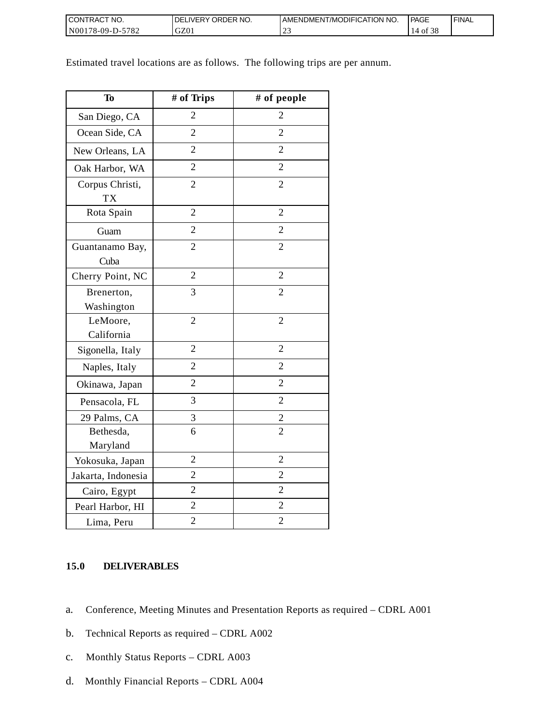| <b>I CONTRACT NO.</b> | DELIVERY ORDER NO. | AMENDMENT/MODIFICATION NO. | <b>PAGE</b>      | ' FINAL |
|-----------------------|--------------------|----------------------------|------------------|---------|
| N00178-09-D-5782      | GZ01               |                            | 14<br>∙of<br>-20 |         |

| <b>To</b>                    | # of Trips     | # of people    |
|------------------------------|----------------|----------------|
| San Diego, CA                | $\overline{2}$ | $\overline{2}$ |
| Ocean Side, CA               | $\overline{2}$ | $\overline{2}$ |
| New Orleans, LA              | $\overline{2}$ | $\overline{2}$ |
| Oak Harbor, WA               | $\overline{2}$ | $\overline{2}$ |
| Corpus Christi,<br><b>TX</b> | $\overline{2}$ | $\overline{c}$ |
| Rota Spain                   | $\overline{2}$ | $\overline{2}$ |
| Guam                         | $\overline{2}$ | $\overline{2}$ |
| Guantanamo Bay,<br>Cuba      | $\overline{2}$ | $\overline{2}$ |
| Cherry Point, NC             | $\overline{2}$ | $\overline{2}$ |
| Brenerton,<br>Washington     | 3              | $\overline{2}$ |
| LeMoore,<br>California       | $\overline{2}$ | $\overline{2}$ |
| Sigonella, Italy             | $\overline{2}$ | $\overline{2}$ |
| Naples, Italy                | $\overline{c}$ | $\overline{2}$ |
| Okinawa, Japan               | $\overline{2}$ | $\overline{2}$ |
| Pensacola, FL                | 3              | $\overline{2}$ |
| 29 Palms, CA                 | 3              | $\overline{2}$ |
| Bethesda,<br>Maryland        | 6              | $\overline{2}$ |
| Yokosuka, Japan              | $\overline{c}$ | $\overline{2}$ |
| Jakarta, Indonesia           | $\overline{2}$ | $\overline{2}$ |
| Cairo, Egypt                 | $\overline{2}$ | $\overline{c}$ |
| Pearl Harbor, HI             | $\overline{c}$ | $\overline{2}$ |
| Lima, Peru                   | $\overline{2}$ | $\overline{c}$ |

Estimated travel locations are as follows. The following trips are per annum.

## **15.0 DELIVERABLES**

- a. Conference, Meeting Minutes and Presentation Reports as required CDRL A001
- b. Technical Reports as required CDRL A002
- c. Monthly Status Reports CDRL A003
- d. Monthly Financial Reports CDRL A004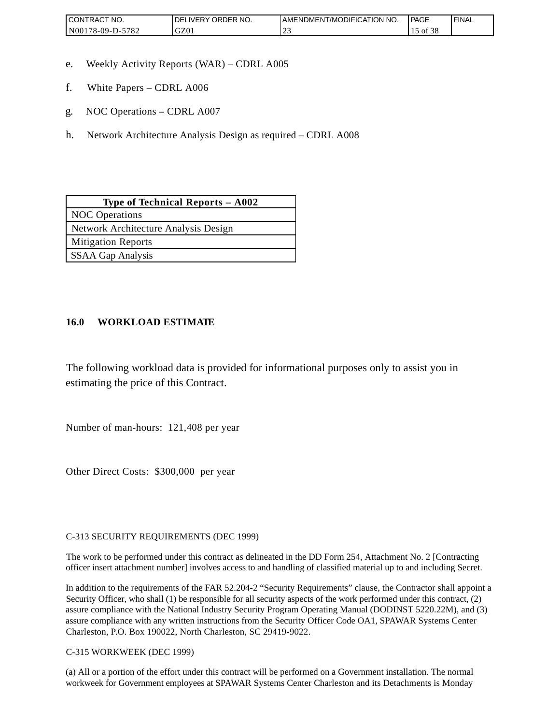| <b>CONTRACT NO.</b>                                | ' ORDER NO.<br>DELIVERY | AMENDMENT/MODIFICATION NO. | <b>PAGE</b> | <b>FINAL</b> |
|----------------------------------------------------|-------------------------|----------------------------|-------------|--------------|
| 5782<br>N <sub>00</sub><br>78-09-D<br>$\mathbf{L}$ | GZ01                    | <u>_</u>                   | O1.<br>- эс |              |

- e. Weekly Activity Reports (WAR) CDRL A005
- f. White Papers CDRL A006
- g. NOC Operations CDRL A007
- h. Network Architecture Analysis Design as required CDRL A008

| Type of Technical Reports $-$ A002   |  |  |
|--------------------------------------|--|--|
| <b>NOC</b> Operations                |  |  |
| Network Architecture Analysis Design |  |  |
| <b>Mitigation Reports</b>            |  |  |
| <b>SSAA Gap Analysis</b>             |  |  |

## **16.0 WORKLOAD ESTIMATE**

The following workload data is provided for informational purposes only to assist you in estimating the price of this Contract.

Number of man-hours: 121,408 per year

Other Direct Costs: \$300,000 per year

C-313 SECURITY REQUIREMENTS (DEC 1999)

The work to be performed under this contract as delineated in the DD Form 254, Attachment No. 2 [Contracting officer insert attachment number] involves access to and handling of classified material up to and including Secret.

In addition to the requirements of the FAR 52.204-2 "Security Requirements" clause, the Contractor shall appoint a Security Officer, who shall (1) be responsible for all security aspects of the work performed under this contract, (2) assure compliance with the National Industry Security Program Operating Manual (DODINST 5220.22M), and (3) assure compliance with any written instructions from the Security Officer Code OA1, SPAWAR Systems Center Charleston, P.O. Box 190022, North Charleston, SC 29419-9022.

C-315 WORKWEEK (DEC 1999)

(a) All or a portion of the effort under this contract will be performed on a Government installation. The normal workweek for Government employees at SPAWAR Systems Center Charleston and its Detachments is Monday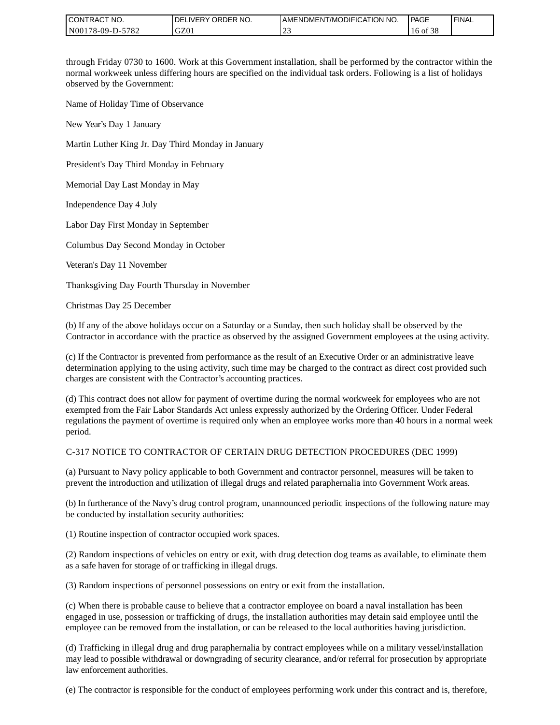| <b>CONTRACT NO.</b> | <b>IDELIVERY ORDER NO.</b> | <b>I AMENDMENT/MODIFICATION NO.</b> | PAGE     | <b>FINAL</b> |
|---------------------|----------------------------|-------------------------------------|----------|--------------|
| N00178-09-D-5782    | GZ0.                       | $\sim$<br><u>_</u>                  | 16 of 38 |              |

through Friday 0730 to 1600. Work at this Government installation, shall be performed by the contractor within the normal workweek unless differing hours are specified on the individual task orders. Following is a list of holidays observed by the Government:

Name of Holiday Time of Observance

New Year's Day 1 January

Martin Luther King Jr. Day Third Monday in January

President's Day Third Monday in February

Memorial Day Last Monday in May

Independence Day 4 July

Labor Day First Monday in September

Columbus Day Second Monday in October

Veteran's Day 11 November

Thanksgiving Day Fourth Thursday in November

Christmas Day 25 December

(b) If any of the above holidays occur on a Saturday or a Sunday, then such holiday shall be observed by the Contractor in accordance with the practice as observed by the assigned Government employees at the using activity.

(c) If the Contractor is prevented from performance as the result of an Executive Order or an administrative leave determination applying to the using activity, such time may be charged to the contract as direct cost provided such charges are consistent with the Contractor's accounting practices.

(d) This contract does not allow for payment of overtime during the normal workweek for employees who are not exempted from the Fair Labor Standards Act unless expressly authorized by the Ordering Officer. Under Federal regulations the payment of overtime is required only when an employee works more than 40 hours in a normal week period.

#### C-317 NOTICE TO CONTRACTOR OF CERTAIN DRUG DETECTION PROCEDURES (DEC 1999)

(a) Pursuant to Navy policy applicable to both Government and contractor personnel, measures will be taken to prevent the introduction and utilization of illegal drugs and related paraphernalia into Government Work areas.

(b) In furtherance of the Navy's drug control program, unannounced periodic inspections of the following nature may be conducted by installation security authorities:

(1) Routine inspection of contractor occupied work spaces.

(2) Random inspections of vehicles on entry or exit, with drug detection dog teams as available, to eliminate them as a safe haven for storage of or trafficking in illegal drugs.

(3) Random inspections of personnel possessions on entry or exit from the installation.

(c) When there is probable cause to believe that a contractor employee on board a naval installation has been engaged in use, possession or trafficking of drugs, the installation authorities may detain said employee until the employee can be removed from the installation, or can be released to the local authorities having jurisdiction.

(d) Trafficking in illegal drug and drug paraphernalia by contract employees while on a military vessel/installation may lead to possible withdrawal or downgrading of security clearance, and/or referral for prosecution by appropriate law enforcement authorities.

(e) The contractor is responsible for the conduct of employees performing work under this contract and is, therefore,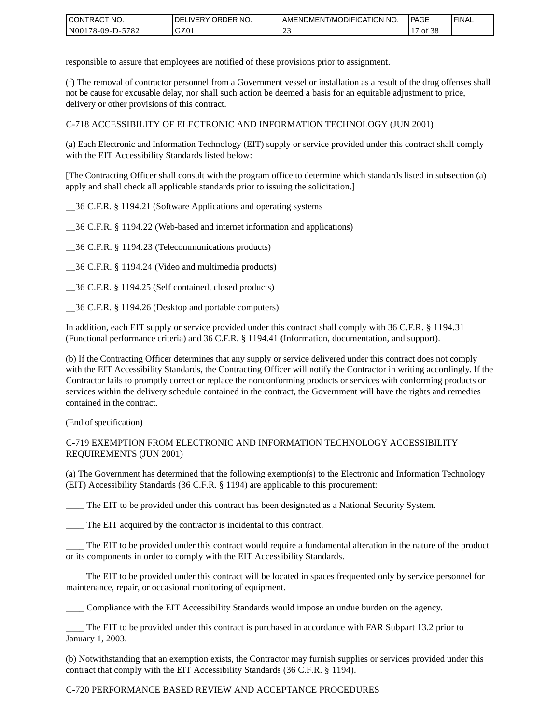| <b>I CONTRACT NO.</b> | ' ORDER NO.<br><b>DELIVERY</b> | I AMENDMENT/MODIFICATION NO. | <b>PAGE</b> | <b>I FINAL</b> |
|-----------------------|--------------------------------|------------------------------|-------------|----------------|
| N00178-09-D-5782      | GZ0 <sub>1</sub>               | <u>_</u>                     | 0t<br>эc    |                |

responsible to assure that employees are notified of these provisions prior to assignment.

(f) The removal of contractor personnel from a Government vessel or installation as a result of the drug offenses shall not be cause for excusable delay, nor shall such action be deemed a basis for an equitable adjustment to price, delivery or other provisions of this contract.

C-718 ACCESSIBILITY OF ELECTRONIC AND INFORMATION TECHNOLOGY (JUN 2001)

(a) Each Electronic and Information Technology (EIT) supply or service provided under this contract shall comply with the EIT Accessibility Standards listed below:

[The Contracting Officer shall consult with the program office to determine which standards listed in subsection (a) apply and shall check all applicable standards prior to issuing the solicitation.]

\_\_36 C.F.R. § 1194.21 (Software Applications and operating systems

\_\_36 C.F.R. § 1194.22 (Web-based and internet information and applications)

\_\_36 C.F.R. § 1194.23 (Telecommunications products)

\_\_36 C.F.R. § 1194.24 (Video and multimedia products)

\_\_36 C.F.R. § 1194.25 (Self contained, closed products)

\_\_36 C.F.R. § 1194.26 (Desktop and portable computers)

In addition, each EIT supply or service provided under this contract shall comply with 36 C.F.R. § 1194.31 (Functional performance criteria) and 36 C.F.R. § 1194.41 (Information, documentation, and support).

(b) If the Contracting Officer determines that any supply or service delivered under this contract does not comply with the EIT Accessibility Standards, the Contracting Officer will notify the Contractor in writing accordingly. If the Contractor fails to promptly correct or replace the nonconforming products or services with conforming products or services within the delivery schedule contained in the contract, the Government will have the rights and remedies contained in the contract.

(End of specification)

#### C-719 EXEMPTION FROM ELECTRONIC AND INFORMATION TECHNOLOGY ACCESSIBILITY REQUIREMENTS (JUN 2001)

(a) The Government has determined that the following exemption(s) to the Electronic and Information Technology (EIT) Accessibility Standards (36 C.F.R. § 1194) are applicable to this procurement:

The EIT to be provided under this contract has been designated as a National Security System.

\_\_\_\_ The EIT acquired by the contractor is incidental to this contract.

\_\_\_\_ The EIT to be provided under this contract would require a fundamental alteration in the nature of the product or its components in order to comply with the EIT Accessibility Standards.

The EIT to be provided under this contract will be located in spaces frequented only by service personnel for maintenance, repair, or occasional monitoring of equipment.

\_\_\_\_ Compliance with the EIT Accessibility Standards would impose an undue burden on the agency.

\_\_\_\_ The EIT to be provided under this contract is purchased in accordance with FAR Subpart 13.2 prior to January 1, 2003.

(b) Notwithstanding that an exemption exists, the Contractor may furnish supplies or services provided under this contract that comply with the EIT Accessibility Standards (36 C.F.R. § 1194).

#### C-720 PERFORMANCE BASED REVIEW AND ACCEPTANCE PROCEDURES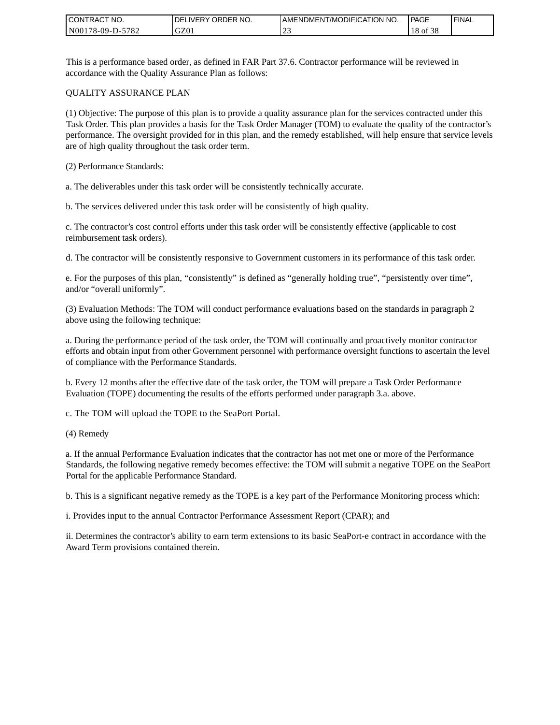| <b>CONTRACT</b><br>`CT NO. | `NO.<br><b>DELIVERY ORDER</b> | AMENDMENT/MODIFICATION NO. | <b>PAGE</b>                             | ' FINAL |
|----------------------------|-------------------------------|----------------------------|-----------------------------------------|---------|
| N00178-09-D-5782           | GZ01                          | ب سے                       | $\sim$ $\sim$ $\sim$<br>$18$ of<br>- 20 |         |

This is a performance based order, as defined in FAR Part 37.6. Contractor performance will be reviewed in accordance with the Quality Assurance Plan as follows:

#### QUALITY ASSURANCE PLAN

(1) Objective: The purpose of this plan is to provide a quality assurance plan for the services contracted under this Task Order. This plan provides a basis for the Task Order Manager (TOM) to evaluate the quality of the contractor's performance. The oversight provided for in this plan, and the remedy established, will help ensure that service levels are of high quality throughout the task order term.

(2) Performance Standards:

a. The deliverables under this task order will be consistently technically accurate.

b. The services delivered under this task order will be consistently of high quality.

c. The contractor's cost control efforts under this task order will be consistently effective (applicable to cost reimbursement task orders).

d. The contractor will be consistently responsive to Government customers in its performance of this task order.

e. For the purposes of this plan, "consistently" is defined as "generally holding true", "persistently over time", and/or "overall uniformly".

(3) Evaluation Methods: The TOM will conduct performance evaluations based on the standards in paragraph 2 above using the following technique:

a. During the performance period of the task order, the TOM will continually and proactively monitor contractor efforts and obtain input from other Government personnel with performance oversight functions to ascertain the level of compliance with the Performance Standards.

b. Every 12 months after the effective date of the task order, the TOM will prepare a Task Order Performance Evaluation (TOPE) documenting the results of the efforts performed under paragraph 3.a. above.

c. The TOM will upload the TOPE to the SeaPort Portal.

(4) Remedy

a. If the annual Performance Evaluation indicates that the contractor has not met one or more of the Performance Standards, the following negative remedy becomes effective: the TOM will submit a negative TOPE on the SeaPort Portal for the applicable Performance Standard.

b. This is a significant negative remedy as the TOPE is a key part of the Performance Monitoring process which:

i. Provides input to the annual Contractor Performance Assessment Report (CPAR); and

ii. Determines the contractor's ability to earn term extensions to its basic SeaPort-e contract in accordance with the Award Term provisions contained therein.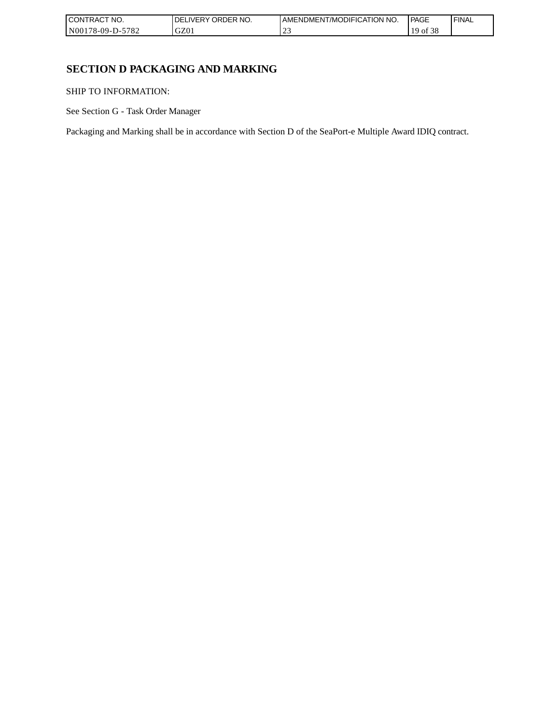| I CONTRACT NO.           | `NO.<br>ORDER<br>.IVERY<br>DELI | AMENDMENT/MODIFICATION NO. | <b>PAGE</b> | 'FINAL |
|--------------------------|---------------------------------|----------------------------|-------------|--------|
| -5782<br>  N00178-09-D-5 | GZ0 <sub>1</sub>                | ب سے                       | `0İ<br>20   |        |

# **SECTION D PACKAGING AND MARKING**

SHIP TO INFORMATION:

See Section G - Task Order Manager

Packaging and Marking shall be in accordance with Section D of the SeaPort-e Multiple Award IDIQ contract.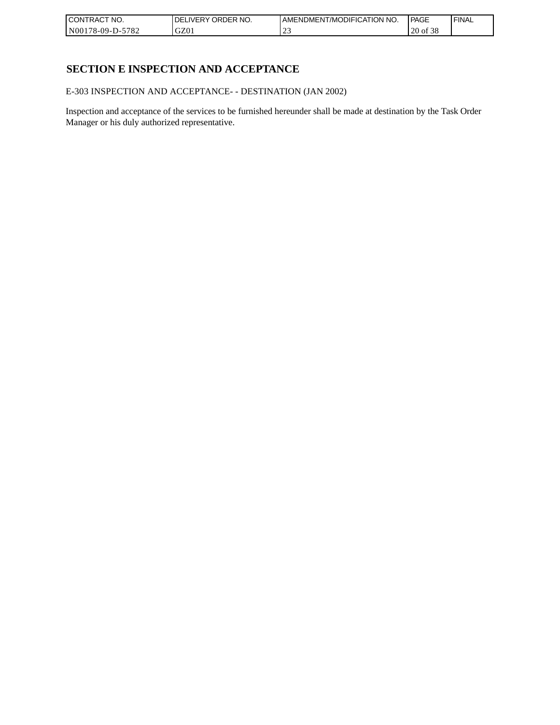| <b>CONTRACT</b><br>`CT NO. | `NO.<br>' ORDER<br><b>DELIVERY</b> | AMENDMENT/MODIFICATION NO. | l PAGE                                 | ' FINAL |
|----------------------------|------------------------------------|----------------------------|----------------------------------------|---------|
| $-5782$<br>N00178-09-D-5   | GZ01                               | ب سے                       | $\sim$ $\sim$ $\sim$<br>$20$ of<br>-20 |         |

# **SECTION E INSPECTION AND ACCEPTANCE**

E-303 INSPECTION AND ACCEPTANCE- - DESTINATION (JAN 2002)

Inspection and acceptance of the services to be furnished hereunder shall be made at destination by the Task Order Manager or his duly authorized representative.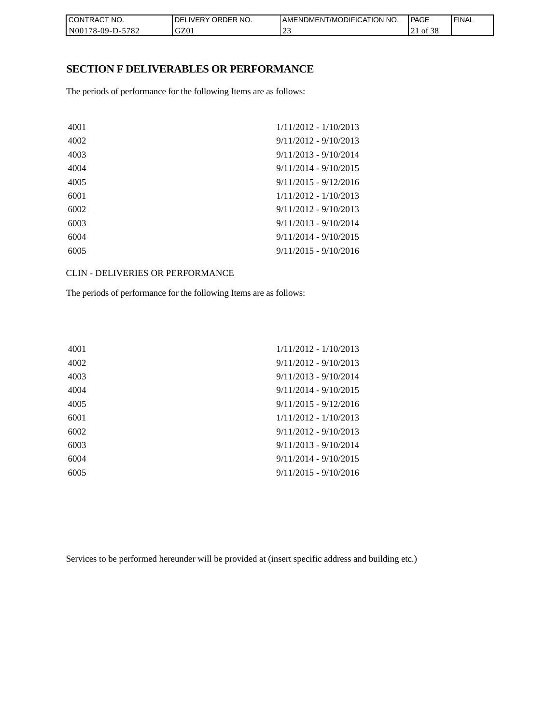| CON <sub>1</sub><br>'TRACT NO. | <b>IDELIVERY ORDER NO.</b> | AMENDMENT/MODIFICATION NO. | PAGE               | 'FINAL |
|--------------------------------|----------------------------|----------------------------|--------------------|--------|
| N00178-09-D-5782               | GZ01                       | <u>_</u>                   | ه م<br>of 38<br>41 |        |

### **SECTION F DELIVERABLES OR PERFORMANCE**

The periods of performance for the following Items are as follows:

| 4001 | $1/11/2012 - 1/10/2013$ |
|------|-------------------------|
| 4002 | $9/11/2012 - 9/10/2013$ |
| 4003 | $9/11/2013 - 9/10/2014$ |
| 4004 | $9/11/2014 - 9/10/2015$ |
| 4005 | $9/11/2015 - 9/12/2016$ |
| 6001 | $1/11/2012 - 1/10/2013$ |
| 6002 | $9/11/2012 - 9/10/2013$ |
| 6003 | $9/11/2013 - 9/10/2014$ |
| 6004 | $9/11/2014 - 9/10/2015$ |
| 6005 | $9/11/2015 - 9/10/2016$ |
|      |                         |

CLIN - DELIVERIES OR PERFORMANCE

The periods of performance for the following Items are as follows:

| 4001 | $1/11/2012 - 1/10/2013$ |
|------|-------------------------|
| 4002 | $9/11/2012 - 9/10/2013$ |
| 4003 | $9/11/2013 - 9/10/2014$ |
| 4004 | $9/11/2014 - 9/10/2015$ |
| 4005 | $9/11/2015 - 9/12/2016$ |
| 6001 | $1/11/2012 - 1/10/2013$ |
| 6002 | $9/11/2012 - 9/10/2013$ |
| 6003 | $9/11/2013 - 9/10/2014$ |
| 6004 | $9/11/2014 - 9/10/2015$ |
| 6005 | $9/11/2015 - 9/10/2016$ |
|      |                         |

Services to be performed hereunder will be provided at (insert specific address and building etc.)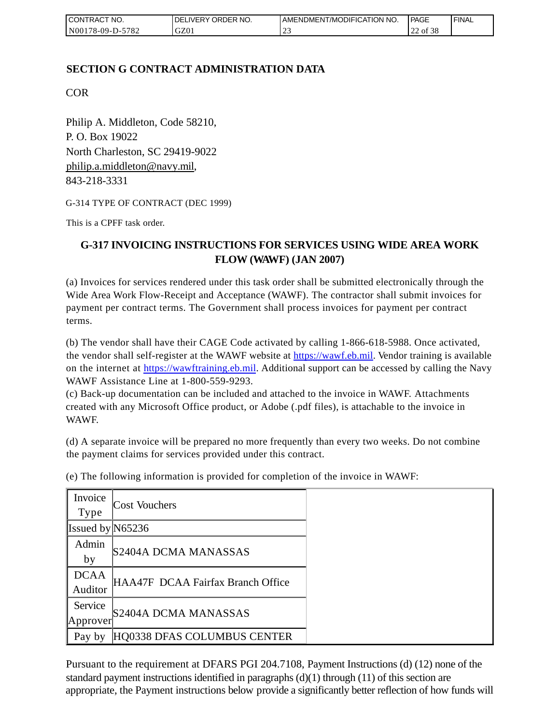| <b>CONTRACT NO.</b>      | DELIVERY ORDER NO. | AMENDMENT/MODIFICATION NO. | <b>PAGE</b>                      | 'FINAL |
|--------------------------|--------------------|----------------------------|----------------------------------|--------|
| -5782<br>$N00178-09-D-2$ | GZ01               | <u>_</u>                   | $\sim$ $\sim$ $\sim$<br>22 of 38 |        |

# **SECTION G CONTRACT ADMINISTRATION DATA**

COR

Philip A. Middleton, Code 58210, P. O. Box 19022 North Charleston, SC 29419-9022 [philip.a.middleton@navy.mil,](mailto:cphilip.a.middleton@navy.mil) 843-218-3331

G-314 TYPE OF CONTRACT (DEC 1999)

This is a CPFF task order.

# **G-317 INVOICING INSTRUCTIONS FOR SERVICES USING WIDE AREA WORK FLOW (WAWF) (JAN 2007)**

(a) Invoices for services rendered under this task order shall be submitted electronically through the Wide Area Work Flow-Receipt and Acceptance (WAWF). The contractor shall submit invoices for payment per contract terms. The Government shall process invoices for payment per contract terms.

(b) The vendor shall have their CAGE Code activated by calling 1-866-618-5988. Once activated, the vendor shall self-register at the WAWF website at [https://wawf.eb.mil.](https://wawf.eb.mil/) Vendor training is available on the internet at [https://wawftraining.eb.mil.](https://wawftraining.eb.mil/) Additional support can be accessed by calling the Navy WAWF Assistance Line at 1-800-559-9293.

(c) Back-up documentation can be included and attached to the invoice in WAWF. Attachments created with any Microsoft Office product, or Adobe (.pdf files), is attachable to the invoice in WAWF.

(d) A separate invoice will be prepared no more frequently than every two weeks. Do not combine the payment claims for services provided under this contract.

| Invoice<br><b>Type</b> | <b>Cost Vouchers</b>              |
|------------------------|-----------------------------------|
|                        |                                   |
| Issued by $N65236$     |                                   |
| Admin                  |                                   |
| by                     | S2404A DCMA MANASSAS              |
| <b>DCAA</b>            |                                   |
| Auditor                | HAA47F DCAA Fairfax Branch Office |
| Service                |                                   |
| Approver               | S2404A DCMA MANASSAS              |
| Pay by                 | HQ0338 DFAS COLUMBUS CENTER       |

(e) The following information is provided for completion of the invoice in WAWF:

Pursuant to the requirement at DFARS PGI 204.7108, Payment Instructions (d) (12) none of the standard payment instructions identified in paragraphs  $(d)(1)$  through  $(11)$  of this section are appropriate, the Payment instructions below provide a significantly better reflection of how funds will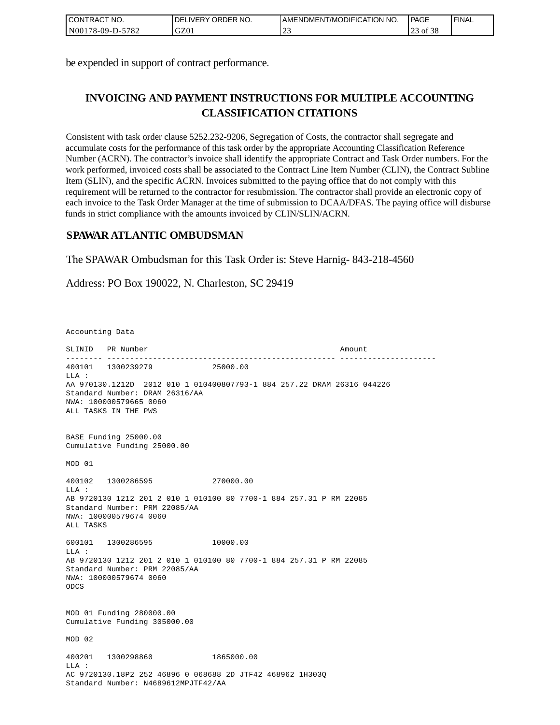| CONTRACT NO.     | <b>IDELIVERY ORDER NO.</b> | AMENDMENT/MODIFICATION NO. | <b>PAGE</b> | ' FINAL |
|------------------|----------------------------|----------------------------|-------------|---------|
| N00178-09-D-5782 | GZ01                       | $\sim$<br><u>_</u>         | 3 of 38     |         |

be expended in support of contract performance.

# **INVOICING AND PAYMENT INSTRUCTIONS FOR MULTIPLE ACCOUNTING CLASSIFICATION CITATIONS**

Consistent with task order clause 5252.232-9206, Segregation of Costs, the contractor shall segregate and accumulate costs for the performance of this task order by the appropriate Accounting Classification Reference Number (ACRN). The contractor's invoice shall identify the appropriate Contract and Task Order numbers. For the work performed, invoiced costs shall be associated to the Contract Line Item Number (CLIN), the Contract Subline Item (SLIN), and the specific ACRN. Invoices submitted to the paying office that do not comply with this requirement will be returned to the contractor for resubmission. The contractor shall provide an electronic copy of each invoice to the Task Order Manager at the time of submission to DCAA/DFAS. The paying office will disburse funds in strict compliance with the amounts invoiced by CLIN/SLIN/ACRN.

## **SPAWAR ATLANTIC OMBUDSMAN**

The SPAWAR Ombudsman for this Task Order is: Steve Harnig- 843-218-4560

Address: PO Box 190022, N. Charleston, SC 29419

Accounting Data

SLINID PR Number Amount -------- -------------------------------------------------- --------------------- 400101 1300239279 25000.00  $T.T.A$  : AA 970130.1212D 2012 010 1 010400807793-1 884 257.22 DRAM 26316 044226 Standard Number: DRAM 26316/AA NWA: 100000579665 0060 ALL TASKS IN THE PWS BASE Funding 25000.00 Cumulative Funding 25000.00 MOD 01 400102 1300286595 270000.00 LLA : AB 9720130 1212 201 2 010 1 010100 80 7700-1 884 257.31 P RM 22085 Standard Number: PRM 22085/AA NWA: 100000579674 0060 ALL TASKS 600101 1300286595 10000.00  $L.L.A$  : AB 9720130 1212 201 2 010 1 010100 80 7700-1 884 257.31 P RM 22085 Standard Number: PRM 22085/AA NWA: 100000579674 0060 ODCS MOD 01 Funding 280000.00 Cumulative Funding 305000.00 MOD 02 400201 1300298860 1865000.00  $T.T.A$  : AC 9720130.18P2 252 46896 0 068688 2D JTF42 468962 1H303Q Standard Number: N4689612MPJTF42/AA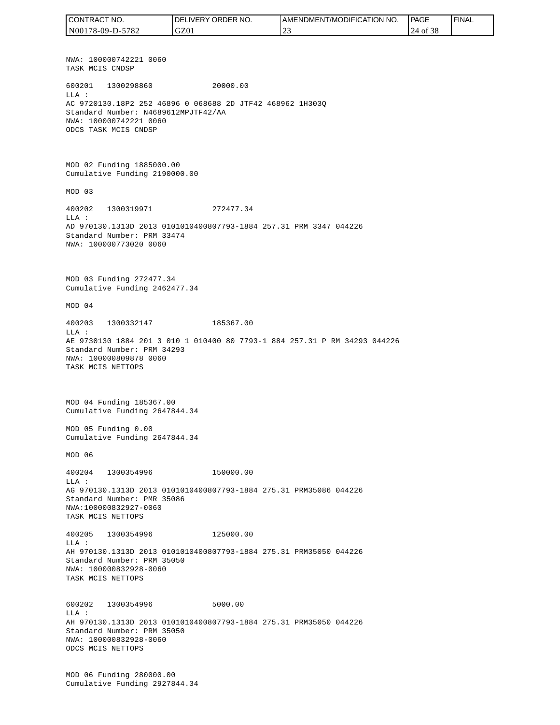NWA: 100000742221 0060 TASK MCIS CNDSP 600201 1300298860 20000.00 LLA : AC 9720130.18P2 252 46896 0 068688 2D JTF42 468962 1H303Q Standard Number: N4689612MPJTF42/AA NWA: 100000742221 0060 ODCS TASK MCIS CNDSP MOD 02 Funding 1885000.00 Cumulative Funding 2190000.00 MOD 03 400202 1300319971 272477.34 LLA : AD 970130.1313D 2013 0101010400807793-1884 257.31 PRM 3347 044226 Standard Number: PRM 33474 NWA: 100000773020 0060 MOD 03 Funding 272477.34 Cumulative Funding 2462477.34 MOD 04 400203 1300332147 185367.00  $T.T.A$  : AE 9730130 1884 201 3 010 1 010400 80 7793-1 884 257.31 P RM 34293 044226 Standard Number: PRM 34293 NWA: 100000809878 0060 TASK MCIS NETTOPS MOD 04 Funding 185367.00 Cumulative Funding 2647844.34 MOD 05 Funding 0.00 Cumulative Funding 2647844.34 MOD 06 400204 1300354996 150000.00  $T.T.A$  : AG 970130.1313D 2013 0101010400807793-1884 275.31 PRM35086 044226 Standard Number: PMR 35086 NWA:100000832927-0060 TASK MCIS NETTOPS 400205 1300354996 125000.00 LLA : AH 970130.1313D 2013 0101010400807793-1884 275.31 PRM35050 044226 Standard Number: PRM 35050 NWA: 100000832928-0060 TASK MCIS NETTOPS 600202 1300354996 5000.00 LLA : AH 970130.1313D 2013 0101010400807793-1884 275.31 PRM35050 044226 Standard Number: PRM 35050 NWA: 100000832928-0060 ODCS MCIS NETTOPS MOD 06 Funding 280000.00 Cumulative Funding 2927844.34 CONTRACT NO. N00178-09-D-5782 DELIVERY ORDER NO. GZ01 AMENDMENT/MODIFICATION NO. 23 **PAGE**  24 of 38 FINAL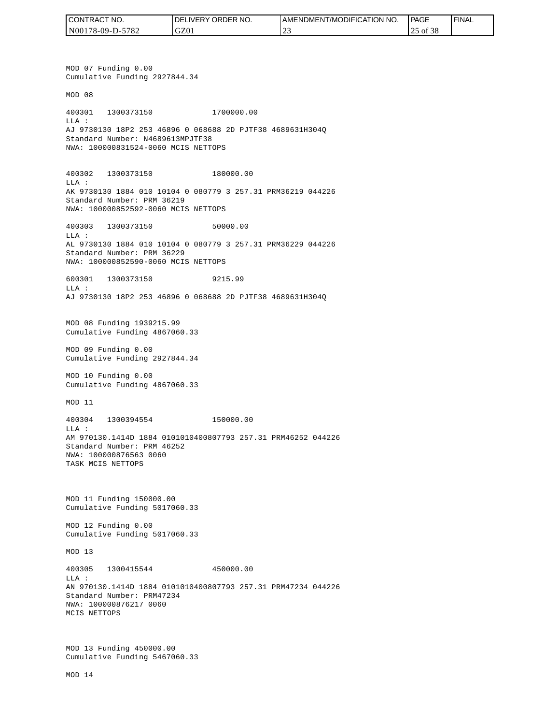| I CONTRACT NO.   | NO.<br><b>DELIVERY ORDER</b> | AMENDMENT/MODIFICATION NO. | PAGE          | ' FINAL |
|------------------|------------------------------|----------------------------|---------------|---------|
| N00178-09-D-5782 | GZ01                         | $\sim$<br>∸                | of $38$<br>-- |         |

MOD 07 Funding 0.00 Cumulative Funding 2927844.34 MOD 08 400301 1300373150 1700000.00 LLA : AJ 9730130 18P2 253 46896 0 068688 2D PJTF38 4689631H304Q Standard Number: N4689613MPJTF38 NWA: 100000831524-0060 MCIS NETTOPS 400302 1300373150 180000.00 LLA : AK 9730130 1884 010 10104 0 080779 3 257.31 PRM36219 044226 Standard Number: PRM 36219 NWA: 100000852592-0060 MCIS NETTOPS 400303 1300373150 50000.00  $T.T.A$  : AL 9730130 1884 010 10104 0 080779 3 257.31 PRM36229 044226 Standard Number: PRM 36229 NWA: 100000852590-0060 MCIS NETTOPS 600301 1300373150 9215.99 LLA : AJ 9730130 18P2 253 46896 0 068688 2D PJTF38 4689631H304Q MOD 08 Funding 1939215.99 Cumulative Funding 4867060.33 MOD 09 Funding 0.00 Cumulative Funding 2927844.34 MOD 10 Funding 0.00 Cumulative Funding 4867060.33 MOD 11 400304 1300394554 150000.00  $T.T.A$  : AM 970130.1414D 1884 0101010400807793 257.31 PRM46252 044226 Standard Number: PRM 46252 NWA: 100000876563 0060 TASK MCIS NETTOPS MOD 11 Funding 150000.00 Cumulative Funding 5017060.33 MOD 12 Funding 0.00 Cumulative Funding 5017060.33 MOD 13 400305 1300415544 450000.00 LLA : AN 970130.1414D 1884 0101010400807793 257.31 PRM47234 044226 Standard Number: PRM47234 NWA: 100000876217 0060 MCIS NETTOPS MOD 13 Funding 450000.00 Cumulative Funding 5467060.33 CONTRACT NO.<br>NO0178-09-D-5<br>NO0178-09-D-5<br>NO0178-09-D-5<br>NOD 07 Fundin<br>Cumulative Fu<br>MOD 08<br>400301 1300<br>Standard Numk<br>NMA: 10000083<br>400302 1300<br>LLA:<br>AK 9730130 18<br>Standard Numk<br>NMA: 10000085<br>600301 1300<br>LLA: 9730130 18<br>MMA: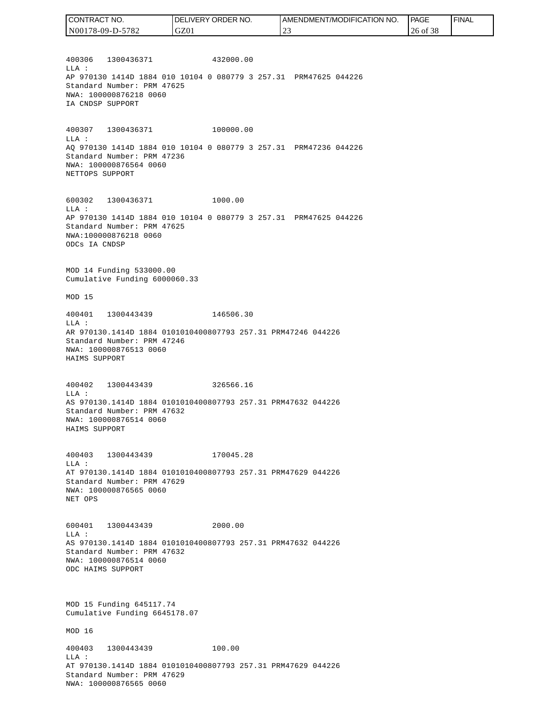| CONTRACT NO.     | I DELIVERY ORDER NO. | AMENDMENT/MODIFICATION NO. | PAGE     | ' FINAL |
|------------------|----------------------|----------------------------|----------|---------|
| N00178-09-D-5782 | GZ01                 |                            | 26 of 38 |         |

400306 1300436371 432000.00 LLA : AP 970130 1414D 1884 010 10104 0 080779 3 257.31 PRM47625 044226 Standard Number: PRM 47625 NWA: 100000876218 0060 IA CNDSP SUPPORT

400307 1300436371 100000.00 LLA : AQ 970130 1414D 1884 010 10104 0 080779 3 257.31 PRM47236 044226 Standard Number: PRM 47236 NWA: 100000876564 0060 NETTOPS SUPPORT

600302 1300436371 1000.00 LLA : AP 970130 1414D 1884 010 10104 0 080779 3 257.31 PRM47625 044226 Standard Number: PRM 47625 NWA:100000876218 0060 ODCs IA CNDSP

MOD 14 Funding 533000.00 Cumulative Funding 6000060.33

MOD 15

400401 1300443439 146506.30 LLA : AR 970130.1414D 1884 0101010400807793 257.31 PRM47246 044226 Standard Number: PRM 47246 NWA: 100000876513 0060 HAIMS SUPPORT

400402 1300443439 326566.16 LLA : AS 970130.1414D 1884 0101010400807793 257.31 PRM47632 044226 Standard Number: PRM 47632 NWA: 100000876514 0060 HAIMS SUPPORT

400403 1300443439 170045.28 LLA : AT 970130.1414D 1884 0101010400807793 257.31 PRM47629 044226 Standard Number: PRM 47629 NWA: 100000876565 0060 NET OPS

600401 1300443439 2000.00 LLA : AS 970130.1414D 1884 0101010400807793 257.31 PRM47632 044226 Standard Number: PRM 47632 NWA: 100000876514 0060 ODC HAIMS SUPPORT

MOD 15 Funding 645117.74 Cumulative Funding 6645178.07

MOD 16

400403 1300443439 100.00 LLA : AT 970130.1414D 1884 0101010400807793 257.31 PRM47629 044226 Standard Number: PRM 47629 NWA: 100000876565 0060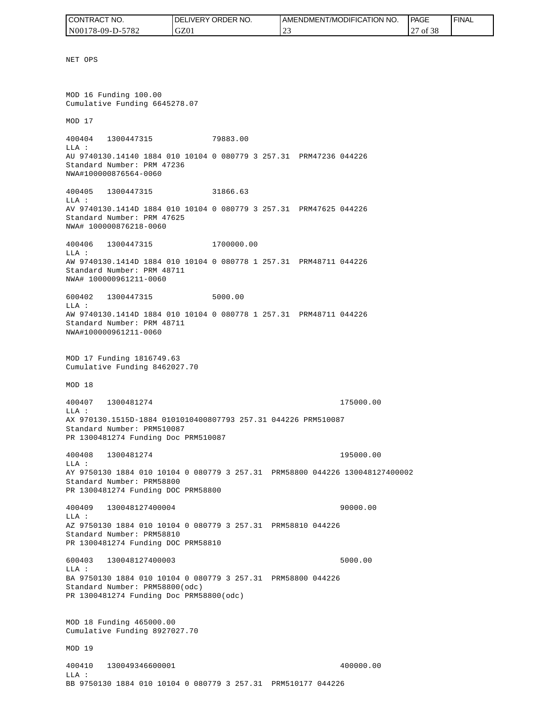| CONTRACT NO.     | I DELIVERY ORDER NO. | AMENDMENT/MODIFICATION NO. | PAGE              | ' FINAL |
|------------------|----------------------|----------------------------|-------------------|---------|
| N00178-09-D-5782 | GZ0 <sub>1</sub>     | $\sim$<br>∼                | ه ص<br>of 38<br>∼ |         |

NET OPS MOD 16 Funding 100.00 Cumulative Funding 6645278.07 MOD 17 400404 1300447315 79883.00 LLA : AU 9740130.14140 1884 010 10104 0 080779 3 257.31 PRM47236 044226 Standard Number: PRM 47236 NWA#100000876564-0060 400405 1300447315 31866.63 LLA : AV 9740130.1414D 1884 010 10104 0 080779 3 257.31 PRM47625 044226 Standard Number: PRM 47625 NWA# 100000876218-0060 400406 1300447315 1700000.00 LLA : AW 9740130.1414D 1884 010 10104 0 080778 1 257.31 PRM48711 044226 Standard Number: PRM 48711 NWA# 100000961211-0060 600402 1300447315 5000.00  $T.T.A$  : AW 9740130.1414D 1884 010 10104 0 080778 1 257.31 PRM48711 044226 Standard Number: PRM 48711 NWA#100000961211-0060 MOD 17 Funding 1816749.63 Cumulative Funding 8462027.70 MOD 18 400407 1300481274 175000.00 LLA : AX 970130.1515D-1884 0101010400807793 257.31 044226 PRM510087 Standard Number: PRM510087 PR 1300481274 Funding Doc PRM510087 400408 1300481274 195000.00 LLA : AY 9750130 1884 010 10104 0 080779 3 257.31 PRM58800 044226 130048127400002 Standard Number: PRM58800 PR 1300481274 Funding DOC PRM58800 400409 130048127400004 90000.00 LLA : AZ 9750130 1884 010 10104 0 080779 3 257.31 PRM58810 044226 Standard Number: PRM58810 PR 1300481274 Funding DOC PRM58810 600403 130048127400003 5000.00 LLA : BA 9750130 1884 010 10104 0 080779 3 257.31 PRM58800 044226 Standard Number: PRM58800(odc) PR 1300481274 Funding Doc PRM58800(odc) MOD 18 Funding 465000.00 Cumulative Funding 8927027.70 MOD 19 400410 130049346600001 400000.00 LLA :

BB 9750130 1884 010 10104 0 080779 3 257.31 PRM510177 044226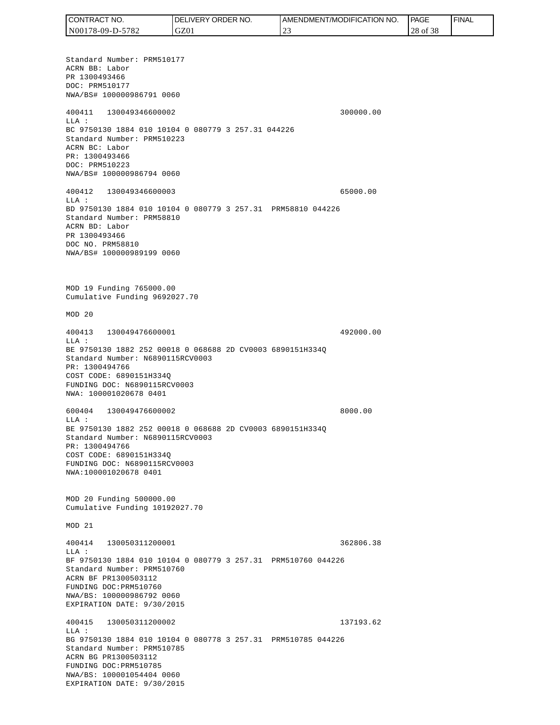Standard Number: PRM510177 ACRN BB: Labor PR 1300493466 DOC: PRM510177 NWA/BS# 100000986791 0060 400411 130049346600002 300000.00 LLA : BC 9750130 1884 010 10104 0 080779 3 257.31 044226 Standard Number: PRM510223 ACRN BC: Labor PR: 1300493466 DOC: PRM510223 NWA/BS# 100000986794 0060 400412 130049346600003 65000.00 LLA : BD 9750130 1884 010 10104 0 080779 3 257.31 PRM58810 044226 Standard Number: PRM58810 ACRN BD: Labor PR 1300493466 DOC NO. PRM58810 NWA/BS# 100000989199 0060 MOD 19 Funding 765000.00 Cumulative Funding 9692027.70 MOD 20 400413 130049476600001 492000.00 LLA : BE 9750130 1882 252 00018 0 068688 2D CV0003 6890151H334Q Standard Number: N6890115RCV0003 PR: 1300494766 COST CODE: 6890151H334Q FUNDING DOC: N6890115RCV0003 NWA: 100001020678 0401 600404 130049476600002 8000.00 LLA : BE 9750130 1882 252 00018 0 068688 2D CV0003 6890151H334Q Standard Number: N6890115RCV0003 PR: 1300494766 COST CODE: 6890151H334Q FUNDING DOC: N6890115RCV0003 NWA:100001020678 0401 MOD 20 Funding 500000.00 Cumulative Funding 10192027.70 MOD 21 400414 130050311200001 362806.38  $T.T.A$  : BF 9750130 1884 010 10104 0 080779 3 257.31 PRM510760 044226 Standard Number: PRM510760 ACRN BF PR1300503112 FUNDING DOC:PRM510760 NWA/BS: 100000986792 0060 EXPIRATION DATE: 9/30/2015 400415 130050311200002 137193.62 LLA : BG 9750130 1884 010 10104 0 080778 3 257.31 PRM510785 044226 Standard Number: PRM510785 ACRN BG PR1300503112 FUNDING DOC:PRM510785 NWA/BS: 100001054404 0060 EXPIRATION DATE: 9/30/2015 CONTRACT NO. N00178-09-D-5782 DELIVERY ORDER NO. GZ01 AMENDMENT/MODIFICATION NO. 23 PAGE 28 of 38 FINAL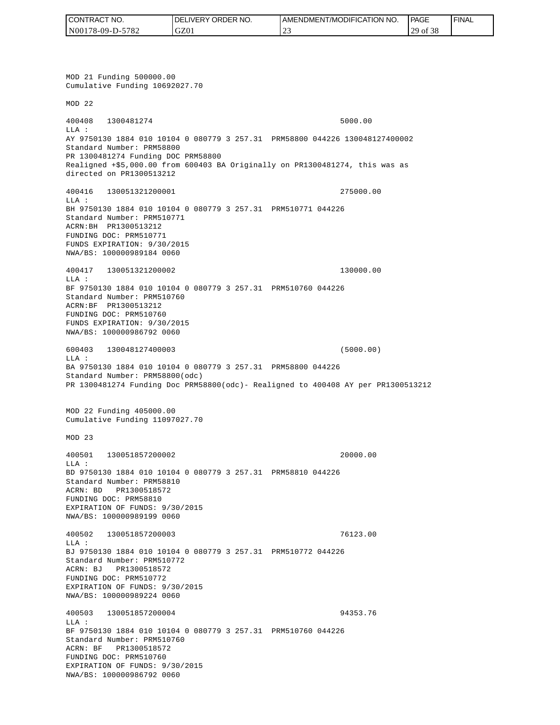| CONTRACT NO.     | <b>IDELIVERY ORDER NO.</b> | I AMENDMENT/MODIFICATION NO. | <b>PAGE</b>             | <b>FINAL</b> |
|------------------|----------------------------|------------------------------|-------------------------|--------------|
| N00178-09-D-5782 | GZ01                       | $\sim$<br>ب سے               | f 38<br>20<br>' of<br>∸ |              |

MOD 21 Funding 500000.00 Cumulative Funding 10692027.70 MOD 22 400408 1300481274 5000.00 LLA : AY 9750130 1884 010 10104 0 080779 3 257.31 PRM58800 044226 130048127400002 Standard Number: PRM58800 PR 1300481274 Funding DOC PRM58800 Realigned +\$5,000.00 from 600403 BA Originally on PR1300481274, this was as directed on PR1300513212 400416 130051321200001 275000.00 LLA : BH 9750130 1884 010 10104 0 080779 3 257.31 PRM510771 044226 Standard Number: PRM510771 ACRN:BH PR1300513212 FUNDING DOC: PRM510771 FUNDS EXPIRATION: 9/30/2015 NWA/BS: 100000989184 0060 400417 130051321200002 130000.00 LLA : BF 9750130 1884 010 10104 0 080779 3 257.31 PRM510760 044226 Standard Number: PRM510760 ACRN:BF PR1300513212 FUNDING DOC: PRM510760 FUNDS EXPIRATION: 9/30/2015 NWA/BS: 100000986792 0060 600403 130048127400003 (5000.00) LLA : BA 9750130 1884 010 10104 0 080779 3 257.31 PRM58800 044226 Standard Number: PRM58800(odc) PR 1300481274 Funding Doc PRM58800(odc)- Realigned to 400408 AY per PR1300513212 MOD 22 Funding 405000.00 Cumulative Funding 11097027.70 MOD 23 400501 130051857200002 20000.00 LLA : BD 9750130 1884 010 10104 0 080779 3 257.31 PRM58810 044226 Standard Number: PRM58810 ACRN: BD PR1300518572 FUNDING DOC: PRM58810 EXPIRATION OF FUNDS: 9/30/2015 NWA/BS: 100000989199 0060 400502 130051857200003 76123.00 LLA : BJ 9750130 1884 010 10104 0 080779 3 257.31 PRM510772 044226 Standard Number: PRM510772 ACRN: BJ PR1300518572 FUNDING DOC: PRM510772 EXPIRATION OF FUNDS: 9/30/2015 NWA/BS: 100000989224 0060 400503 130051857200004 94353.76 LLA : BF 9750130 1884 010 10104 0 080779 3 257.31 PRM510760 044226 Standard Number: PRM510760 ACRN: BF PR1300518572 FUNDING DOC: PRM510760 EXPIRATION OF FUNDS: 9/30/2015<br>NWA/BS: 100000986792 0060 CONTRACT NO. 5<br>
NO0178-09-D-5782<br>
NO0178-09-D-5782<br>
NOD 21 Funding 500000.00<br>
NOD 21 Funding 500000.00<br>
NOD 22<br>
200408 1300481274<br>
ELA :<br>
Standard Number: FRNS8800<br>
Realigned 455,000.00 from<br>
Realigned 455,000.00 from<br>
dir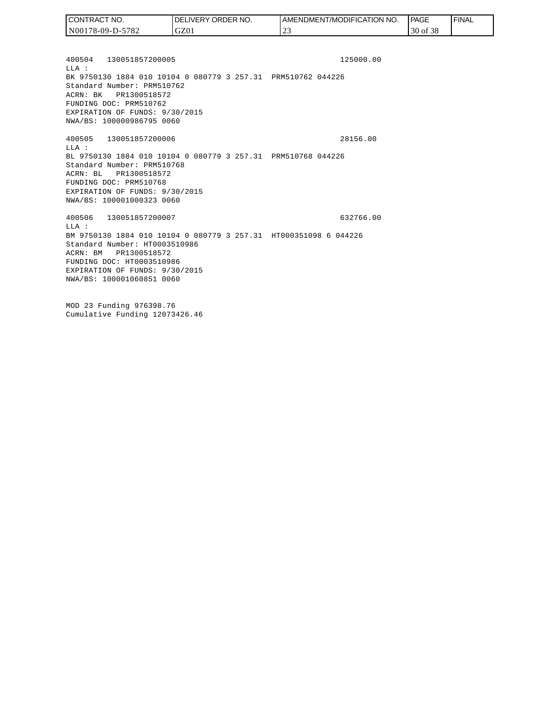| I CONTRACT NO.   | DELIVERY ORDER NO. | AMENDMENT/MODIFICATION NO. | <b>PAGE</b> | ' FINAL |
|------------------|--------------------|----------------------------|-------------|---------|
| N00178-09-D-5782 | GZ01               | $\sim$<br>∸                | 30 of 38    |         |

400504 130051857200005 125000.00 LLA : BK 9750130 1884 010 10104 0 080779 3 257.31 PRM510762 044226 Standard Number: PRM510762 ACRN: BK PR1300518572 FUNDING DOC: PRM510762 EXPIRATION OF FUNDS: 9/30/2015 NWA/BS: 100000986795 0060

400505 130051857200006 28156.00 LLA : BL 9750130 1884 010 10104 0 080779 3 257.31 PRM510768 044226 Standard Number: PRM510768 ACRN: BL PR1300518572 FUNDING DOC: PRM510768 EXPIRATION OF FUNDS: 9/30/2015 NWA/BS: 100001000323 0060

400506 130051857200007 632766.00 LLA : BM 9750130 1884 010 10104 0 080779 3 257.31 HT000351098 6 044226 Standard Number: HT0003510986 ACRN: BM PR1300518572 FUNDING DOC: HT0003510986 EXPIRATION OF FUNDS: 9/30/2015 NWA/BS: 100001060851 0060

MOD 23 Funding 976398.76 Cumulative Funding 12073426.46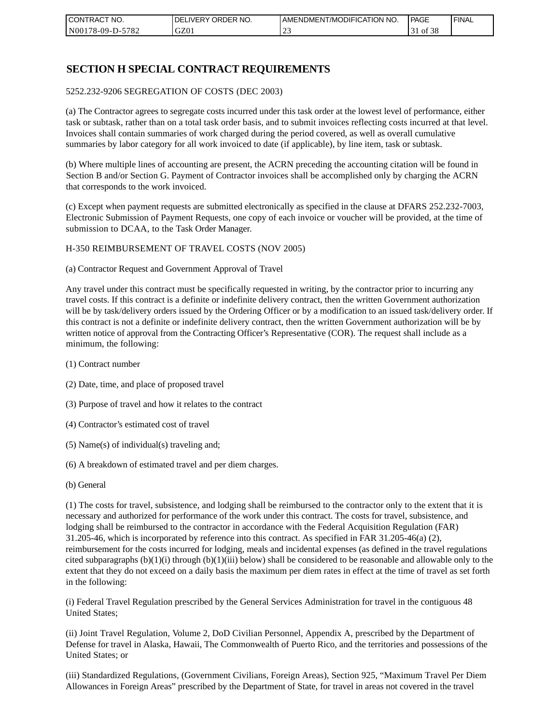| I CONTRACT NO.           | NO.<br>ORDER <sup>'</sup><br><b>DELIVERY</b> | AMENDMENT/MODIFICATION NO. | PAGE     | 'FINAL |
|--------------------------|----------------------------------------------|----------------------------|----------|--------|
| N00178-09-D-5<br>$-5782$ | GZ0 <sub>1</sub>                             | ب سے                       | 0Ī<br>20 |        |

## **SECTION H SPECIAL CONTRACT REQUIREMENTS**

#### 5252.232-9206 SEGREGATION OF COSTS (DEC 2003)

(a) The Contractor agrees to segregate costs incurred under this task order at the lowest level of performance, either task or subtask, rather than on a total task order basis, and to submit invoices reflecting costs incurred at that level. Invoices shall contain summaries of work charged during the period covered, as well as overall cumulative summaries by labor category for all work invoiced to date (if applicable), by line item, task or subtask.

(b) Where multiple lines of accounting are present, the ACRN preceding the accounting citation will be found in Section B and/or Section G. Payment of Contractor invoices shall be accomplished only by charging the ACRN that corresponds to the work invoiced.

(c) Except when payment requests are submitted electronically as specified in the clause at DFARS 252.232-7003, Electronic Submission of Payment Requests, one copy of each invoice or voucher will be provided, at the time of submission to DCAA, to the Task Order Manager.

#### H-350 REIMBURSEMENT OF TRAVEL COSTS (NOV 2005)

(a) Contractor Request and Government Approval of Travel

Any travel under this contract must be specifically requested in writing, by the contractor prior to incurring any travel costs. If this contract is a definite or indefinite delivery contract, then the written Government authorization will be by task/delivery orders issued by the Ordering Officer or by a modification to an issued task/delivery order. If this contract is not a definite or indefinite delivery contract, then the written Government authorization will be by written notice of approval from the Contracting Officer's Representative (COR). The request shall include as a minimum, the following:

- (1) Contract number
- (2) Date, time, and place of proposed travel
- (3) Purpose of travel and how it relates to the contract
- (4) Contractor's estimated cost of travel
- (5) Name(s) of individual(s) traveling and;
- (6) A breakdown of estimated travel and per diem charges.
- (b) General

(1) The costs for travel, subsistence, and lodging shall be reimbursed to the contractor only to the extent that it is necessary and authorized for performance of the work under this contract. The costs for travel, subsistence, and lodging shall be reimbursed to the contractor in accordance with the Federal Acquisition Regulation (FAR) 31.205-46, which is incorporated by reference into this contract. As specified in FAR 31.205-46(a) (2), reimbursement for the costs incurred for lodging, meals and incidental expenses (as defined in the travel regulations cited subparagraphs  $(b)(1)(i)$  through  $(b)(1)(iii)$  below) shall be considered to be reasonable and allowable only to the extent that they do not exceed on a daily basis the maximum per diem rates in effect at the time of travel as set forth in the following:

(i) Federal Travel Regulation prescribed by the General Services Administration for travel in the contiguous 48 United States;

(ii) Joint Travel Regulation, Volume 2, DoD Civilian Personnel, Appendix A, prescribed by the Department of Defense for travel in Alaska, Hawaii, The Commonwealth of Puerto Rico, and the territories and possessions of the United States; or

(iii) Standardized Regulations, (Government Civilians, Foreign Areas), Section 925, "Maximum Travel Per Diem Allowances in Foreign Areas" prescribed by the Department of State, for travel in areas not covered in the travel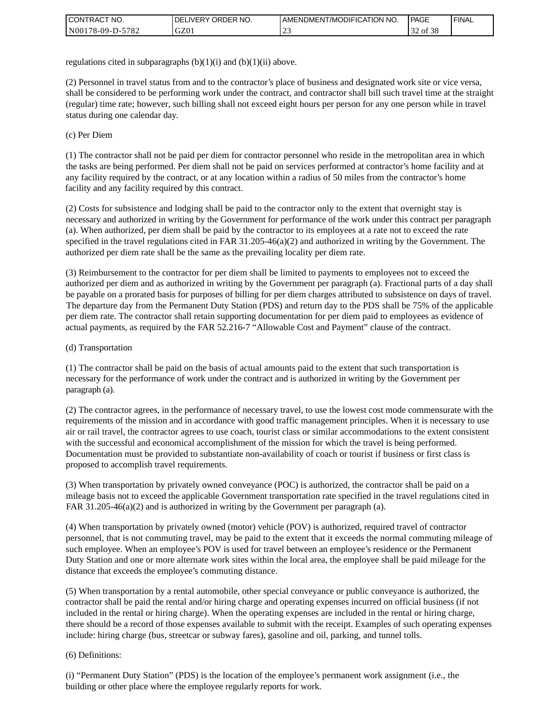| <b>I CONTRACT NO.</b> | ' ORDER NO.<br><b>DELIVERY</b> | I AMENDMENT/MODIFICATION NO. | <b>PAGE</b> | <b>I FINAL</b> |
|-----------------------|--------------------------------|------------------------------|-------------|----------------|
| N00178-09-D-5782      | GZ0 <sub>1</sub>               | <u>_</u>                     | of 38       |                |

regulations cited in subparagraphs  $(b)(1)(i)$  and  $(b)(1)(ii)$  above.

(2) Personnel in travel status from and to the contractor's place of business and designated work site or vice versa, shall be considered to be performing work under the contract, and contractor shall bill such travel time at the straight (regular) time rate; however, such billing shall not exceed eight hours per person for any one person while in travel status during one calendar day.

(c) Per Diem

(1) The contractor shall not be paid per diem for contractor personnel who reside in the metropolitan area in which the tasks are being performed. Per diem shall not be paid on services performed at contractor's home facility and at any facility required by the contract, or at any location within a radius of 50 miles from the contractor's home facility and any facility required by this contract.

(2) Costs for subsistence and lodging shall be paid to the contractor only to the extent that overnight stay is necessary and authorized in writing by the Government for performance of the work under this contract per paragraph (a). When authorized, per diem shall be paid by the contractor to its employees at a rate not to exceed the rate specified in the travel regulations cited in FAR 31.205-46(a)(2) and authorized in writing by the Government. The authorized per diem rate shall be the same as the prevailing locality per diem rate.

(3) Reimbursement to the contractor for per diem shall be limited to payments to employees not to exceed the authorized per diem and as authorized in writing by the Government per paragraph (a). Fractional parts of a day shall be payable on a prorated basis for purposes of billing for per diem charges attributed to subsistence on days of travel. The departure day from the Permanent Duty Station (PDS) and return day to the PDS shall be 75% of the applicable per diem rate. The contractor shall retain supporting documentation for per diem paid to employees as evidence of actual payments, as required by the FAR 52.216-7 "Allowable Cost and Payment" clause of the contract.

#### (d) Transportation

(1) The contractor shall be paid on the basis of actual amounts paid to the extent that such transportation is necessary for the performance of work under the contract and is authorized in writing by the Government per paragraph (a).

(2) The contractor agrees, in the performance of necessary travel, to use the lowest cost mode commensurate with the requirements of the mission and in accordance with good traffic management principles. When it is necessary to use air or rail travel, the contractor agrees to use coach, tourist class or similar accommodations to the extent consistent with the successful and economical accomplishment of the mission for which the travel is being performed. Documentation must be provided to substantiate non-availability of coach or tourist if business or first class is proposed to accomplish travel requirements.

(3) When transportation by privately owned conveyance (POC) is authorized, the contractor shall be paid on a mileage basis not to exceed the applicable Government transportation rate specified in the travel regulations cited in FAR 31.205-46(a)(2) and is authorized in writing by the Government per paragraph (a).

(4) When transportation by privately owned (motor) vehicle (POV) is authorized, required travel of contractor personnel, that is not commuting travel, may be paid to the extent that it exceeds the normal commuting mileage of such employee. When an employee's POV is used for travel between an employee's residence or the Permanent Duty Station and one or more alternate work sites within the local area, the employee shall be paid mileage for the distance that exceeds the employee's commuting distance.

(5) When transportation by a rental automobile, other special conveyance or public conveyance is authorized, the contractor shall be paid the rental and/or hiring charge and operating expenses incurred on official business (if not included in the rental or hiring charge). When the operating expenses are included in the rental or hiring charge, there should be a record of those expenses available to submit with the receipt. Examples of such operating expenses include: hiring charge (bus, streetcar or subway fares), gasoline and oil, parking, and tunnel tolls.

#### (6) Definitions:

(i) "Permanent Duty Station" (PDS) is the location of the employee's permanent work assignment (i.e., the building or other place where the employee regularly reports for work.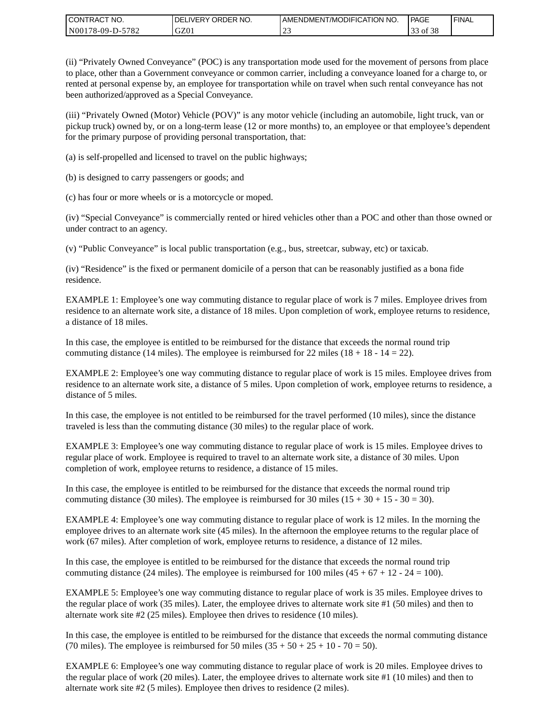| CONTRACT<br>CT NO.                                    | <b>ORDER</b><br>NO.<br><b>DELIVERY</b> | I AMENDMENT/MODIFICATION NO. | PAGE  | <b>I FINAL</b> |
|-------------------------------------------------------|----------------------------------------|------------------------------|-------|----------------|
| $-5782$<br>N <sub>001</sub><br>*78-09-D- <sub>~</sub> | GZ01                                   | <u>_</u>                     | of 38 |                |

(ii) "Privately Owned Conveyance" (POC) is any transportation mode used for the movement of persons from place to place, other than a Government conveyance or common carrier, including a conveyance loaned for a charge to, or rented at personal expense by, an employee for transportation while on travel when such rental conveyance has not been authorized/approved as a Special Conveyance.

(iii) "Privately Owned (Motor) Vehicle (POV)" is any motor vehicle (including an automobile, light truck, van or pickup truck) owned by, or on a long-term lease (12 or more months) to, an employee or that employee's dependent for the primary purpose of providing personal transportation, that:

(a) is self-propelled and licensed to travel on the public highways;

(b) is designed to carry passengers or goods; and

(c) has four or more wheels or is a motorcycle or moped.

(iv) "Special Conveyance" is commercially rented or hired vehicles other than a POC and other than those owned or under contract to an agency.

(v) "Public Conveyance" is local public transportation (e.g., bus, streetcar, subway, etc) or taxicab.

(iv) "Residence" is the fixed or permanent domicile of a person that can be reasonably justified as a bona fide residence.

EXAMPLE 1: Employee's one way commuting distance to regular place of work is 7 miles. Employee drives from residence to an alternate work site, a distance of 18 miles. Upon completion of work, employee returns to residence, a distance of 18 miles.

In this case, the employee is entitled to be reimbursed for the distance that exceeds the normal round trip commuting distance (14 miles). The employee is reimbursed for 22 miles (18 + 18 - 14 = 22).

EXAMPLE 2: Employee's one way commuting distance to regular place of work is 15 miles. Employee drives from residence to an alternate work site, a distance of 5 miles. Upon completion of work, employee returns to residence, a distance of 5 miles.

In this case, the employee is not entitled to be reimbursed for the travel performed (10 miles), since the distance traveled is less than the commuting distance (30 miles) to the regular place of work.

EXAMPLE 3: Employee's one way commuting distance to regular place of work is 15 miles. Employee drives to regular place of work. Employee is required to travel to an alternate work site, a distance of 30 miles. Upon completion of work, employee returns to residence, a distance of 15 miles.

In this case, the employee is entitled to be reimbursed for the distance that exceeds the normal round trip commuting distance (30 miles). The employee is reimbursed for 30 miles  $(15 + 30 + 15 - 30 = 30)$ .

EXAMPLE 4: Employee's one way commuting distance to regular place of work is 12 miles. In the morning the employee drives to an alternate work site (45 miles). In the afternoon the employee returns to the regular place of work (67 miles). After completion of work, employee returns to residence, a distance of 12 miles.

In this case, the employee is entitled to be reimbursed for the distance that exceeds the normal round trip commuting distance (24 miles). The employee is reimbursed for 100 miles  $(45 + 67 + 12 - 24 = 100)$ .

EXAMPLE 5: Employee's one way commuting distance to regular place of work is 35 miles. Employee drives to the regular place of work (35 miles). Later, the employee drives to alternate work site #1 (50 miles) and then to alternate work site #2 (25 miles). Employee then drives to residence (10 miles).

In this case, the employee is entitled to be reimbursed for the distance that exceeds the normal commuting distance (70 miles). The employee is reimbursed for 50 miles  $(35 + 50 + 25 + 10 - 70 = 50)$ .

EXAMPLE 6: Employee's one way commuting distance to regular place of work is 20 miles. Employee drives to the regular place of work (20 miles). Later, the employee drives to alternate work site #1 (10 miles) and then to alternate work site #2 (5 miles). Employee then drives to residence (2 miles).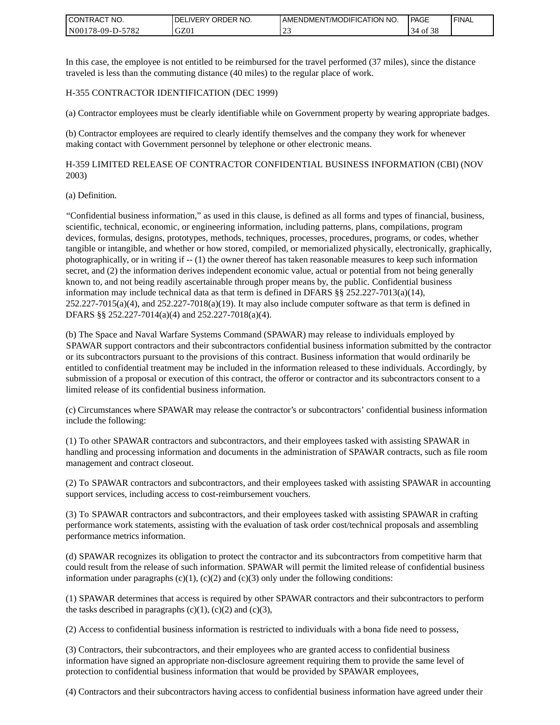| <b>I CONTRACT NO.</b>               | NO.<br>DELIVERY ORDER | AMENDMENT/MODIFICATION NO. | PAGE              | <b>I FINAL</b> |
|-------------------------------------|-----------------------|----------------------------|-------------------|----------------|
| 5782<br>N001<br>78-09-E<br>$D^{-r}$ | GZ01                  | ب سے                       | ΟĪ<br>14<br>- O C |                |

In this case, the employee is not entitled to be reimbursed for the travel performed (37 miles), since the distance traveled is less than the commuting distance (40 miles) to the regular place of work.

#### H-355 CONTRACTOR IDENTIFICATION (DEC 1999)

(a) Contractor employees must be clearly identifiable while on Government property by wearing appropriate badges.

(b) Contractor employees are required to clearly identify themselves and the company they work for whenever making contact with Government personnel by telephone or other electronic means.

H-359 LIMITED RELEASE OF CONTRACTOR CONFIDENTIAL BUSINESS INFORMATION (CBI) (NOV 2003)

#### (a) Definition.

"Confidential business information," as used in this clause, is defined as all forms and types of financial, business, scientific, technical, economic, or engineering information, including patterns, plans, compilations, program devices, formulas, designs, prototypes, methods, techniques, processes, procedures, programs, or codes, whether tangible or intangible, and whether or how stored, compiled, or memorialized physically, electronically, graphically, photographically, or in writing if -- (1) the owner thereof has taken reasonable measures to keep such information secret, and (2) the information derives independent economic value, actual or potential from not being generally known to, and not being readily ascertainable through proper means by, the public. Confidential business information may include technical data as that term is defined in DFARS  $\S$ § 252.227-7013(a)(14),  $252.227-7015(a)(4)$ , and  $252.227-7018(a)(19)$ . It may also include computer software as that term is defined in DFARS §§ 252.227-7014(a)(4) and 252.227-7018(a)(4).

(b) The Space and Naval Warfare Systems Command (SPAWAR) may release to individuals employed by SPAWAR support contractors and their subcontractors confidential business information submitted by the contractor or its subcontractors pursuant to the provisions of this contract. Business information that would ordinarily be entitled to confidential treatment may be included in the information released to these individuals. Accordingly, by submission of a proposal or execution of this contract, the offeror or contractor and its subcontractors consent to a limited release of its confidential business information.

(c) Circumstances where SPAWAR may release the contractor's or subcontractors' confidential business information include the following:

(1) To other SPAWAR contractors and subcontractors, and their employees tasked with assisting SPAWAR in handling and processing information and documents in the administration of SPAWAR contracts, such as file room management and contract closeout.

(2) To SPAWAR contractors and subcontractors, and their employees tasked with assisting SPAWAR in accounting support services, including access to cost-reimbursement vouchers.

(3) To SPAWAR contractors and subcontractors, and their employees tasked with assisting SPAWAR in crafting performance work statements, assisting with the evaluation of task order cost/technical proposals and assembling performance metrics information.

(d) SPAWAR recognizes its obligation to protect the contractor and its subcontractors from competitive harm that could result from the release of such information. SPAWAR will permit the limited release of confidential business information under paragraphs  $(c)(1)$ ,  $(c)(2)$  and  $(c)(3)$  only under the following conditions:

(1) SPAWAR determines that access is required by other SPAWAR contractors and their subcontractors to perform the tasks described in paragraphs  $(c)(1)$ ,  $(c)(2)$  and  $(c)(3)$ ,

(2) Access to confidential business information is restricted to individuals with a bona fide need to possess,

(3) Contractors, their subcontractors, and their employees who are granted access to confidential business information have signed an appropriate non-disclosure agreement requiring them to provide the same level of protection to confidential business information that would be provided by SPAWAR employees,

(4) Contractors and their subcontractors having access to confidential business information have agreed under their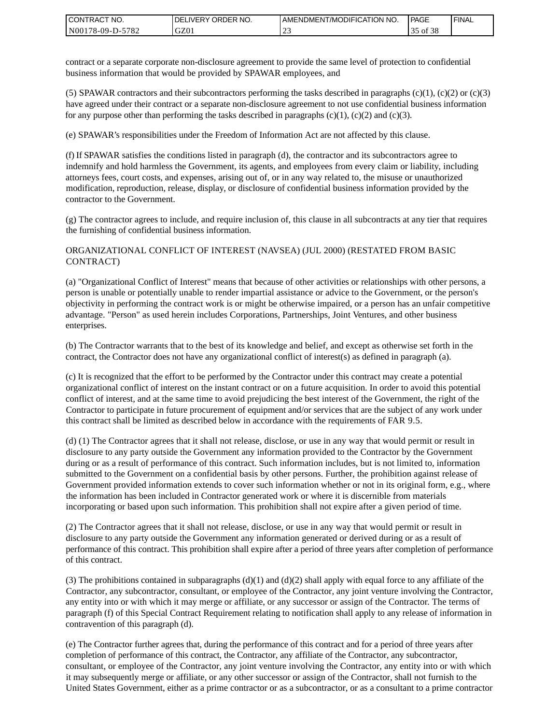| I CONTRACT NO.   | <b>IDELIVERY ORDER NO.</b> | AMENDMENT/MODIFICATION NO. | PAGE              | 'FINAL |
|------------------|----------------------------|----------------------------|-------------------|--------|
| N00178-09-D-5782 | GZ01                       | <u>_</u>                   | ⊖ot<br>-20<br>ر ر |        |

contract or a separate corporate non-disclosure agreement to provide the same level of protection to confidential business information that would be provided by SPAWAR employees, and

(5) SPAWAR contractors and their subcontractors performing the tasks described in paragraphs  $(c)(1)$ ,  $(c)(2)$  or  $(c)(3)$ have agreed under their contract or a separate non-disclosure agreement to not use confidential business information for any purpose other than performing the tasks described in paragraphs  $(c)(1)$ ,  $(c)(2)$  and  $(c)(3)$ .

(e) SPAWAR's responsibilities under the Freedom of Information Act are not affected by this clause.

(f) If SPAWAR satisfies the conditions listed in paragraph (d), the contractor and its subcontractors agree to indemnify and hold harmless the Government, its agents, and employees from every claim or liability, including attorneys fees, court costs, and expenses, arising out of, or in any way related to, the misuse or unauthorized modification, reproduction, release, display, or disclosure of confidential business information provided by the contractor to the Government.

(g) The contractor agrees to include, and require inclusion of, this clause in all subcontracts at any tier that requires the furnishing of confidential business information.

#### ORGANIZATIONAL CONFLICT OF INTEREST (NAVSEA) (JUL 2000) (RESTATED FROM BASIC CONTRACT)

(a) "Organizational Conflict of Interest" means that because of other activities or relationships with other persons, a person is unable or potentially unable to render impartial assistance or advice to the Government, or the person's objectivity in performing the contract work is or might be otherwise impaired, or a person has an unfair competitive advantage. "Person" as used herein includes Corporations, Partnerships, Joint Ventures, and other business enterprises.

(b) The Contractor warrants that to the best of its knowledge and belief, and except as otherwise set forth in the contract, the Contractor does not have any organizational conflict of interest(s) as defined in paragraph (a).

(c) It is recognized that the effort to be performed by the Contractor under this contract may create a potential organizational conflict of interest on the instant contract or on a future acquisition. In order to avoid this potential conflict of interest, and at the same time to avoid prejudicing the best interest of the Government, the right of the Contractor to participate in future procurement of equipment and/or services that are the subject of any work under this contract shall be limited as described below in accordance with the requirements of FAR 9.5.

(d) (1) The Contractor agrees that it shall not release, disclose, or use in any way that would permit or result in disclosure to any party outside the Government any information provided to the Contractor by the Government during or as a result of performance of this contract. Such information includes, but is not limited to, information submitted to the Government on a confidential basis by other persons. Further, the prohibition against release of Government provided information extends to cover such information whether or not in its original form, e.g., where the information has been included in Contractor generated work or where it is discernible from materials incorporating or based upon such information. This prohibition shall not expire after a given period of time.

(2) The Contractor agrees that it shall not release, disclose, or use in any way that would permit or result in disclosure to any party outside the Government any information generated or derived during or as a result of performance of this contract. This prohibition shall expire after a period of three years after completion of performance of this contract.

(3) The prohibitions contained in subparagraphs  $(d)(1)$  and  $(d)(2)$  shall apply with equal force to any affiliate of the Contractor, any subcontractor, consultant, or employee of the Contractor, any joint venture involving the Contractor, any entity into or with which it may merge or affiliate, or any successor or assign of the Contractor. The terms of paragraph (f) of this Special Contract Requirement relating to notification shall apply to any release of information in contravention of this paragraph (d).

(e) The Contractor further agrees that, during the performance of this contract and for a period of three years after completion of performance of this contract, the Contractor, any affiliate of the Contractor, any subcontractor, consultant, or employee of the Contractor, any joint venture involving the Contractor, any entity into or with which it may subsequently merge or affiliate, or any other successor or assign of the Contractor, shall not furnish to the United States Government, either as a prime contractor or as a subcontractor, or as a consultant to a prime contractor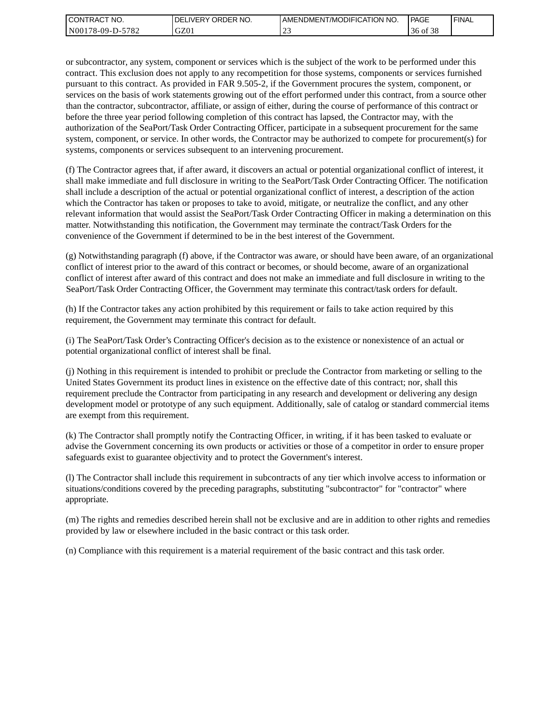| I CONTRACT NO.             | NO.<br>' ORDER<br><b>DELIVERY</b> | AMENDMENT/MODIFICATION NO. | PAGE                            | ' FINAL |
|----------------------------|-----------------------------------|----------------------------|---------------------------------|---------|
| $-5782$<br>  N00178-09-D-5 | GZ01                              |                            | $c \wedge c$<br>-38<br>ОI<br>36 |         |

or subcontractor, any system, component or services which is the subject of the work to be performed under this contract. This exclusion does not apply to any recompetition for those systems, components or services furnished pursuant to this contract. As provided in FAR 9.505-2, if the Government procures the system, component, or services on the basis of work statements growing out of the effort performed under this contract, from a source other than the contractor, subcontractor, affiliate, or assign of either, during the course of performance of this contract or before the three year period following completion of this contract has lapsed, the Contractor may, with the authorization of the SeaPort/Task Order Contracting Officer, participate in a subsequent procurement for the same system, component, or service. In other words, the Contractor may be authorized to compete for procurement(s) for systems, components or services subsequent to an intervening procurement.

(f) The Contractor agrees that, if after award, it discovers an actual or potential organizational conflict of interest, it shall make immediate and full disclosure in writing to the SeaPort/Task Order Contracting Officer. The notification shall include a description of the actual or potential organizational conflict of interest, a description of the action which the Contractor has taken or proposes to take to avoid, mitigate, or neutralize the conflict, and any other relevant information that would assist the SeaPort/Task Order Contracting Officer in making a determination on this matter. Notwithstanding this notification, the Government may terminate the contract/Task Orders for the convenience of the Government if determined to be in the best interest of the Government.

(g) Notwithstanding paragraph (f) above, if the Contractor was aware, or should have been aware, of an organizational conflict of interest prior to the award of this contract or becomes, or should become, aware of an organizational conflict of interest after award of this contract and does not make an immediate and full disclosure in writing to the SeaPort/Task Order Contracting Officer, the Government may terminate this contract/task orders for default.

(h) If the Contractor takes any action prohibited by this requirement or fails to take action required by this requirement, the Government may terminate this contract for default.

(i) The SeaPort/Task Order's Contracting Officer's decision as to the existence or nonexistence of an actual or potential organizational conflict of interest shall be final.

(j) Nothing in this requirement is intended to prohibit or preclude the Contractor from marketing or selling to the United States Government its product lines in existence on the effective date of this contract; nor, shall this requirement preclude the Contractor from participating in any research and development or delivering any design development model or prototype of any such equipment. Additionally, sale of catalog or standard commercial items are exempt from this requirement.

(k) The Contractor shall promptly notify the Contracting Officer, in writing, if it has been tasked to evaluate or advise the Government concerning its own products or activities or those of a competitor in order to ensure proper safeguards exist to guarantee objectivity and to protect the Government's interest.

(l) The Contractor shall include this requirement in subcontracts of any tier which involve access to information or situations/conditions covered by the preceding paragraphs, substituting "subcontractor" for "contractor" where appropriate.

(m) The rights and remedies described herein shall not be exclusive and are in addition to other rights and remedies provided by law or elsewhere included in the basic contract or this task order.

(n) Compliance with this requirement is a material requirement of the basic contract and this task order.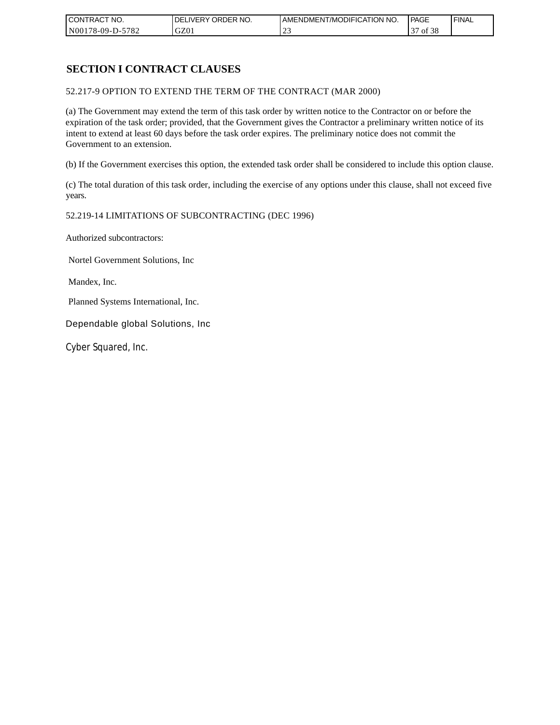| CONTRACT NO.     | `NO.<br>DELIVERY ORDER | AMENDMENT/MODIFICATION<br>' NO. | <b>PAGE</b>        | 'FINAL |
|------------------|------------------------|---------------------------------|--------------------|--------|
| N00178-09-D-5782 | GZ01                   | <u>_</u>                        | ں م<br>- OI<br>.JO |        |

# **SECTION I CONTRACT CLAUSES**

52.217-9 OPTION TO EXTEND THE TERM OF THE CONTRACT (MAR 2000)

(a) The Government may extend the term of this task order by written notice to the Contractor on or before the expiration of the task order; provided, that the Government gives the Contractor a preliminary written notice of its intent to extend at least 60 days before the task order expires. The preliminary notice does not commit the Government to an extension.

(b) If the Government exercises this option, the extended task order shall be considered to include this option clause.

(c) The total duration of this task order, including the exercise of any options under this clause, shall not exceed five years.

#### 52.219-14 LIMITATIONS OF SUBCONTRACTING (DEC 1996)

Authorized subcontractors:

Nortel Government Solutions, Inc

Mandex, Inc.

Planned Systems International, Inc.

Dependable global Solutions, Inc

Cyber Squared, Inc.